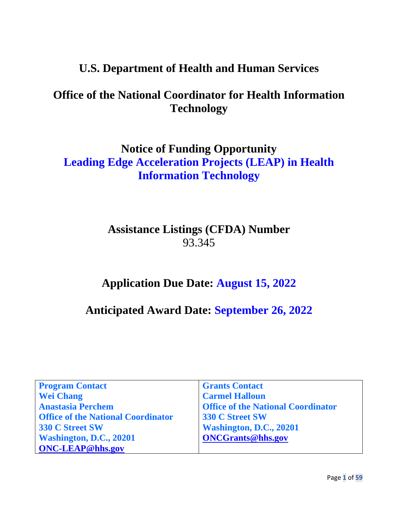# **U.S. Department of Health and Human Services**

# **Office of the National Coordinator for Health Information Technology**

# **Notice of Funding Opportunity Leading Edge Acceleration Projects (LEAP) in Health Information Technology**

# **Assistance Listings (CFDA) Number** 93.345

# **Application Due Date: August 15, 2022**

# **Anticipated Award Date: September 26, 2022**

| <b>Program Contact</b>                    | <b>Grants Contact</b>                     |
|-------------------------------------------|-------------------------------------------|
| <b>Wei Chang</b>                          | <b>Carmel Halloun</b>                     |
| <b>Anastasia Perchem</b>                  | <b>Office of the National Coordinator</b> |
| <b>Office of the National Coordinator</b> | <b>330 C Street SW</b>                    |
| <b>330 C Street SW</b>                    | Washington, D.C., 20201                   |
| Washington, D.C., 20201                   | <b>ONCGrants@hhs.gov</b>                  |
| <b>ONC-LEAP@hhs.gov</b>                   |                                           |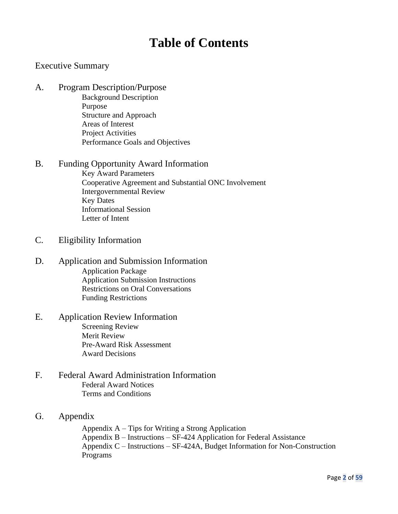# **Table of Contents**

## Executive Summary

A. Program Description/Purpose

Background Description Purpose Structure and Approach Areas of Interest Project Activities Performance Goals and Objectives

#### B. Funding Opportunity Award Information

Key Award Parameters Cooperative Agreement and Substantial ONC Involvement Intergovernmental Review Key Dates Informational Session Letter of Intent

- C. Eligibility Information
- D. Application and Submission Information Application Package Application Submission Instructions Restrictions on Oral Conversations Funding Restrictions
- E. Application Review Information Screening Review Merit Review Pre-Award Risk Assessment Award Decisions
- F. Federal Award Administration Information Federal Award Notices Terms and Conditions
- G. Appendix

Appendix A – Tips for Writing a Strong Application Appendix B – Instructions – SF-424 Application for Federal Assistance Appendix C – Instructions – SF-424A, Budget Information for Non-Construction Programs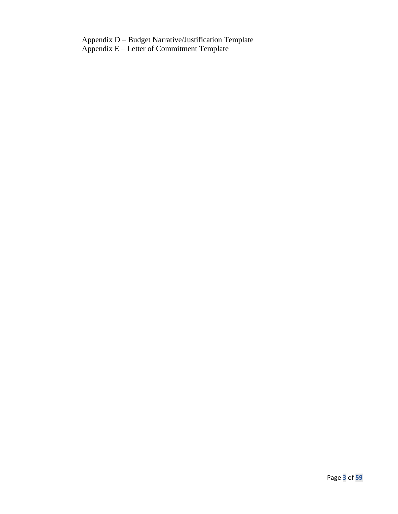Appendix D – Budget Narrative/Justification Template Appendix E – Letter of Commitment Template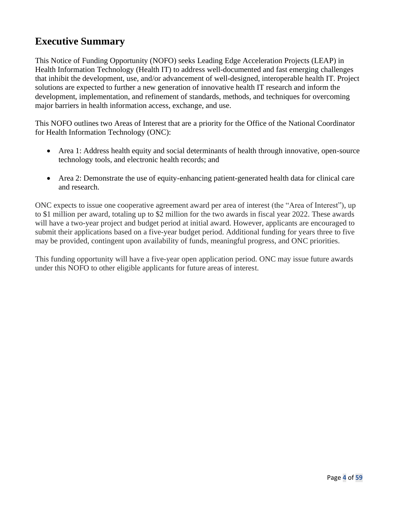# **Executive Summary**

This Notice of Funding Opportunity (NOFO) seeks Leading Edge Acceleration Projects (LEAP) in Health Information Technology (Health IT) to address well-documented and fast emerging challenges that inhibit the development, use, and/or advancement of well-designed, interoperable health IT. Project solutions are expected to further a new generation of innovative health IT research and inform the development, implementation, and refinement of standards, methods, and techniques for overcoming major barriers in health information access, exchange, and use.

This NOFO outlines two Areas of Interest that are a priority for the Office of the National Coordinator for Health Information Technology (ONC):

- Area 1: Address health equity and social determinants of health through innovative, open-source technology tools, and electronic health records; and
- Area 2: Demonstrate the use of equity-enhancing patient-generated health data for clinical care and research.

ONC expects to issue one cooperative agreement award per area of interest (the "Area of Interest"), up to \$1 million per award, totaling up to \$2 million for the two awards in fiscal year 2022. These awards will have a two-year project and budget period at initial award. However, applicants are encouraged to submit their applications based on a five-year budget period. Additional funding for years three to five may be provided, contingent upon availability of funds, meaningful progress, and ONC priorities.

This funding opportunity will have a five-year open application period. ONC may issue future awards under this NOFO to other eligible applicants for future areas of interest.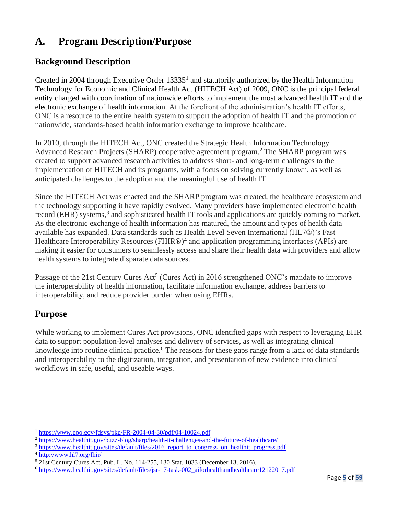# **A. Program Description/Purpose**

# **Background Description**

Created in 2004 through Executive Order 13335<sup>1</sup> and statutorily authorized by the Health Information Technology for Economic and Clinical Health Act (HITECH Act) of 2009, ONC is the principal federal entity charged with coordination of nationwide efforts to implement the most advanced health IT and the electronic exchange of health information. At the forefront of the administration's health IT efforts, ONC is a resource to the entire health system to support the adoption of health IT and the promotion of nationwide, standards-based health information exchange to improve healthcare.

In 2010, through the HITECH Act, ONC created the Strategic Health Information Technology Advanced Research Projects (SHARP) cooperative agreement program. <sup>2</sup> The SHARP program was created to support advanced research activities to address short- and long-term challenges to the implementation of HITECH and its programs, with a focus on solving currently known, as well as anticipated challenges to the adoption and the meaningful use of health IT.

Since the HITECH Act was enacted and the SHARP program was created, the healthcare ecosystem and the technology supporting it have rapidly evolved. Many providers have implemented electronic health record (EHR) systems,<sup>3</sup> and sophisticated health IT tools and applications are quickly coming to market. As the electronic exchange of health information has matured, the amount and types of health data available has expanded. Data standards such as Health Level Seven International (HL7®)'s Fast Healthcare Interoperability Resources (FHIR®)<sup>4</sup> and application programming interfaces (APIs) are making it easier for consumers to seamlessly access and share their health data with providers and allow health systems to integrate disparate data sources.

Passage of the 21st Century Cures Act<sup>5</sup> (Cures Act) in 2016 strengthened ONC's mandate to improve the interoperability of health information, facilitate information exchange, address barriers to interoperability, and reduce provider burden when using EHRs.

# **Purpose**

While working to implement Cures Act provisions, ONC identified gaps with respect to leveraging EHR data to support population-level analyses and delivery of services, as well as integrating clinical knowledge into routine clinical practice.<sup>6</sup> The reasons for these gaps range from a lack of data standards and interoperability to the digitization, integration, and presentation of new evidence into clinical workflows in safe, useful, and useable ways.

<sup>1</sup> <https://www.gpo.gov/fdsys/pkg/FR-2004-04-30/pdf/04-10024.pdf>

<sup>&</sup>lt;sup>2</sup> <https://www.healthit.gov/buzz-blog/sharp/health-it-challenges-and-the-future-of-healthcare/>

<sup>&</sup>lt;sup>3</sup> [https://www.healthit.gov/sites/default/files/2016\\_report\\_to\\_congress\\_on\\_healthit\\_progress.pdf](https://www.healthit.gov/sites/default/files/2016_report_to_congress_on_healthit_progress.pdf)

<sup>4</sup> <http://www.hl7.org/fhir/>

<sup>5</sup> 21st Century Cures Act, Pub. L. No. 114-255, 130 Stat. 1033 (December 13, 2016).

<sup>6</sup> [https://www.healthit.gov/sites/default/files/jsr-17-task-002\\_aiforhealthandhealthcare12122017.pdf](https://www.healthit.gov/sites/default/files/jsr-17-task-002_aiforhealthandhealthcare12122017.pdf)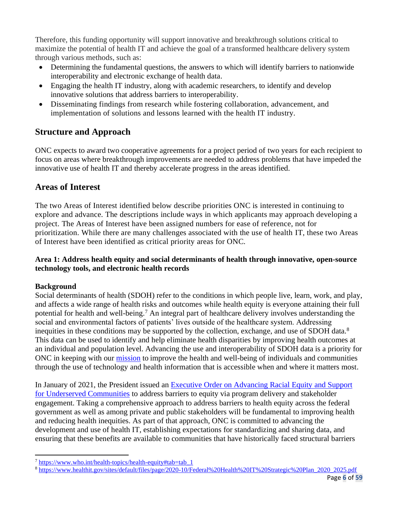Therefore, this funding opportunity will support innovative and breakthrough solutions critical to maximize the potential of health IT and achieve the goal of a transformed healthcare delivery system through various methods, such as:

- Determining the fundamental questions, the answers to which will identify barriers to nationwide interoperability and electronic exchange of health data.
- Engaging the health IT industry, along with academic researchers, to identify and develop innovative solutions that address barriers to interoperability.
- Disseminating findings from research while fostering collaboration, advancement, and implementation of solutions and lessons learned with the health IT industry.

# **Structure and Approach**

ONC expects to award two cooperative agreements for a project period of two years for each recipient to focus on areas where breakthrough improvements are needed to address problems that have impeded the innovative use of health IT and thereby accelerate progress in the areas identified.

# **Areas of Interest**

The two Areas of Interest identified below describe priorities ONC is interested in continuing to explore and advance. The descriptions include ways in which applicants may approach developing a project. The Areas of Interest have been assigned numbers for ease of reference, not for prioritization. While there are many challenges associated with the use of health IT, these two Areas of Interest have been identified as critical priority areas for ONC.

## **Area 1: Address health equity and social determinants of health through innovative, open-source technology tools, and electronic health records**

## **Background**

Social determinants of health (SDOH) refer to the conditions in which people live, learn, work, and play, and affects a wide range of health risks and outcomes while health equity is everyone attaining their full potential for health and well-being.<sup>7</sup> An integral part of healthcare delivery involves understanding the social and environmental factors of patients' lives outside of the healthcare system. Addressing inequities in these conditions may be supported by the collection, exchange, and use of SDOH data.<sup>8</sup> This data can be used to identify and help eliminate health disparities by improving health outcomes at an individual and population level. Advancing the use and interoperability of SDOH data is a priority for ONC in keeping with our [mission](https://www.healthit.gov/topic/about-onc) to improve the health and well-being of individuals and communities through the use of technology and health information that is accessible when and where it matters most.

In January of 2021, the President issued an [Executive Order on Advancing Racial Equity and Support](https://www.whitehouse.gov/briefing-room/presidential-actions/2021/01/20/executive-order-advancing-racial-equity-and-support-for-underserved-communities-through-the-federal-government/)  [for Underserved Communities](https://www.whitehouse.gov/briefing-room/presidential-actions/2021/01/20/executive-order-advancing-racial-equity-and-support-for-underserved-communities-through-the-federal-government/) to address barriers to equity via program delivery and stakeholder engagement. Taking a comprehensive approach to address barriers to health equity across the federal government as well as among private and public stakeholders will be fundamental to improving health and reducing health inequities. As part of that approach, ONC is committed to advancing the development and use of health IT, establishing expectations for standardizing and sharing data, and ensuring that these benefits are available to communities that have historically faced structural barriers

 $\frac{7 \text{ https://www.who.int/health-tonics/health-equity#tab=tab-1}}{1}$ 

<sup>&</sup>lt;sup>8</sup> [https://www.healthit.gov/sites/default/files/page/2020-10/Federal%20Health%20IT%20Strategic%20Plan\\_2020\\_2025.pdf](https://www.healthit.gov/sites/default/files/page/2020-10/Federal%20Health%20IT%20Strategic%20Plan_2020_2025.pdf)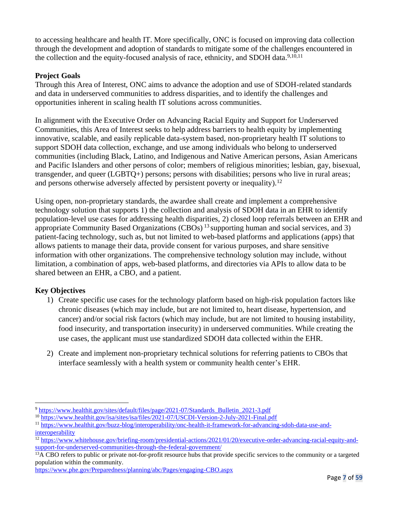to accessing healthcare and health IT. More specifically, ONC is focused on improving data collection through the development and adoption of standards to mitigate some of the challenges encountered in the collection and the equity-focused analysis of race, ethnicity, and SDOH data.<sup>9,10,11</sup>

## **Project Goals**

Through this Area of Interest, ONC aims to advance the adoption and use of SDOH-related standards and data in underserved communities to address disparities, and to identify the challenges and opportunities inherent in scaling health IT solutions across communities.

In alignment with the Executive Order on Advancing Racial Equity and Support for Underserved Communities, this Area of Interest seeks to help address barriers to health equity by implementing innovative, scalable, and easily replicable data-system based, non-proprietary health IT solutions to support SDOH data collection, exchange, and use among individuals who belong to underserved communities (including Black, Latino, and Indigenous and Native American persons, Asian Americans and Pacific Islanders and other persons of color; members of religious minorities; lesbian, gay, bisexual, transgender, and queer (LGBTQ+) persons; persons with disabilities; persons who live in rural areas; and persons otherwise adversely affected by persistent poverty or inequality).<sup>12</sup>

Using open, non-proprietary standards, the awardee shall create and implement a comprehensive technology solution that supports 1) the collection and analysis of SDOH data in an EHR to identify population-level use cases for addressing health disparities, 2) closed loop referrals between an EHR and appropriate Community Based Organizations (CBOs) <sup>13</sup> supporting human and social services, and 3) patient-facing technology, such as, but not limited to web-based platforms and applications (apps) that allows patients to manage their data, provide consent for various purposes, and share sensitive information with other organizations. The comprehensive technology solution may include, without limitation, a combination of apps, web-based platforms, and directories via APIs to allow data to be shared between an EHR, a CBO, and a patient.

# **Key Objectives**

- 1) Create specific use cases for the technology platform based on high-risk population factors like chronic diseases (which may include, but are not limited to, heart disease, hypertension, and cancer) and/or social risk factors (which may include, but are not limited to housing instability, food insecurity, and transportation insecurity) in underserved communities. While creating the use cases, the applicant must use standardized SDOH data collected within the EHR.
- 2) Create and implement non-proprietary technical solutions for referring patients to CBOs that interface seamlessly with a health system or community health center's EHR.

<sup>9</sup> [https://www.healthit.gov/sites/default/files/page/2021-07/Standards\\_Bulletin\\_2021-3.pdf](https://www.healthit.gov/sites/default/files/page/2021-07/Standards_Bulletin_2021-3.pdf)

<sup>10</sup> <https://www.healthit.gov/isa/sites/isa/files/2021-07/USCDI-Version-2-July-2021-Final.pdf>

<sup>11</sup> [https://www.healthit.gov/buzz-blog/interoperability/onc-health-it-framework-for-advancing-sdoh-data-use-and](https://www.healthit.gov/buzz-blog/interoperability/onc-health-it-framework-for-advancing-sdoh-data-use-and-interoperability)[interoperability](https://www.healthit.gov/buzz-blog/interoperability/onc-health-it-framework-for-advancing-sdoh-data-use-and-interoperability)

<sup>&</sup>lt;sup>12</sup> [https://www.whitehouse.gov/briefing-room/presidential-actions/2021/01/20/executive-order-advancing-racial-equity-and](https://www.whitehouse.gov/briefing-room/presidential-actions/2021/01/20/executive-order-advancing-racial-equity-and-support-for-underserved-communities-through-the-federal-government/)[support-for-underserved-communities-through-the-federal-government/](https://www.whitehouse.gov/briefing-room/presidential-actions/2021/01/20/executive-order-advancing-racial-equity-and-support-for-underserved-communities-through-the-federal-government/)

<sup>&</sup>lt;sup>13</sup>A CBO refers to public or private not-for-profit resource hubs that provide specific services to the community or a targeted population within the community.

<https://www.phe.gov/Preparedness/planning/abc/Pages/engaging-CBO.aspx>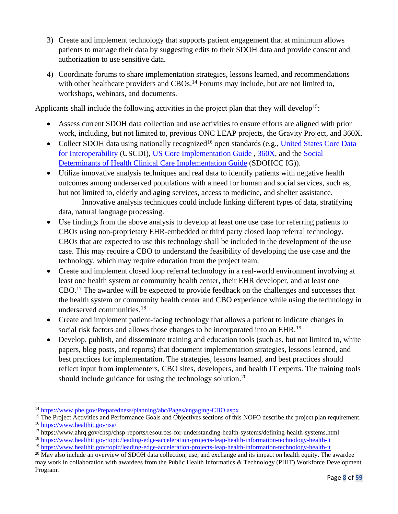- 3) Create and implement technology that supports patient engagement that at minimum allows patients to manage their data by suggesting edits to their SDOH data and provide consent and authorization to use sensitive data.
- 4) Coordinate forums to share implementation strategies, lessons learned, and recommendations with other healthcare providers and CBOs.<sup>14</sup> Forums may include, but are not limited to, workshops, webinars, and documents.

Applicants shall include the following activities in the project plan that they will develop<sup>15</sup>:

- Assess current SDOH data collection and use activities to ensure efforts are aligned with prior work, including, but not limited to, previous [ONC LEAP projects,](https://www.healthit.gov/topic/leading-edge-acceleration-projects-leap-health-information-technology-health-it) [the Gravity Project,](https://www.hl7.org/gravity/) and 360X.
- Collect SDOH data using nationally recognized<sup>16</sup> open standards (e.g., United States Core Data [for Interoperability](https://www.healthit.gov/isa/united-states-core-data-interoperability-uscdi) (USCDI), US [Core Implementation Guide](https://www.hl7.org/fhir/us/core/) , [360X,](https://oncprojectracking.healthit.gov/wiki/display/TechLab360X/360X+Home) and the [Social](http://hl7.org/fhir/us/sdoh-clinicalcare/2021Jan/)  [Determinants of Health Clinical Care Implementation Guide](http://hl7.org/fhir/us/sdoh-clinicalcare/2021Jan/) (SDOHCC IG)).
- Utilize innovative analysis techniques and real data to identify patients with negative health outcomes among underserved populations with a need for human and social services, such as, but not limited to, elderly and aging services, access to medicine, and shelter assistance. Innovative analysis techniques could include linking different types of data, stratifying

data, natural language processing.

- Use findings from the above analysis to develop at least one use case for referring patients to CBOs using non-proprietary EHR-embedded or third party closed loop referral technology. CBOs that are expected to use this technology shall be included in the development of the use case. This may require a CBO to understand the feasibility of developing the use case and the technology, which may require education from the project team.
- Create and implement closed loop referral technology in a real-world environment involving at least one health system or community health center, their EHR developer, and at least one CBO.<sup>17</sup> The awardee will be expected to provide feedback on the challenges and successes that the health system or community health center and CBO experience while using the technology in underserved communities.<sup>18</sup>
- Create and implement patient-facing technology that allows a patient to indicate changes in social risk factors and allows those changes to be incorporated into an EHR.<sup>19</sup>
- Develop, publish, and disseminate training and education tools (such as, but not limited to, white papers, blog posts, and reports) that document implementation strategies, lessons learned, and best practices for implementation. The strategies, lessons learned, and best practices should reflect input from implementers, CBO sites, developers, and health IT experts. The training tools should include guidance for using the technology solution.<sup>20</sup>

<sup>14</sup> <https://www.phe.gov/Preparedness/planning/abc/Pages/engaging-CBO.aspx>

<sup>&</sup>lt;sup>15</sup> The Project Activities and Performance Goals and Objectives sections of this NOFO describe the project plan requirement. <sup>16</sup> <https://www.healthit.gov/isa/>

<sup>17</sup> https://www.ahrq.gov/chsp/chsp-reports/resources-for-understanding-health-systems/defining-health-systems.html

<sup>18</sup> <https://www.healthit.gov/topic/leading-edge-acceleration-projects-leap-health-information-technology-health-it>

<sup>19</sup> <https://www.healthit.gov/topic/leading-edge-acceleration-projects-leap-health-information-technology-health-it>

<sup>&</sup>lt;sup>20</sup> May also include an overview of SDOH data collection, use, and exchange and its impact on health equity. The awardee may work in collaboration with awardees from the Public Health Informatics & Technology (PHIT) Workforce Development Program.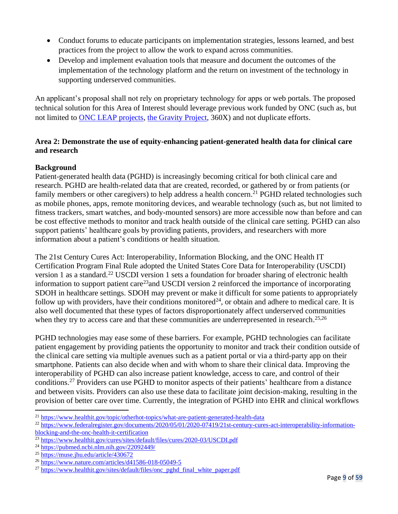- Conduct forums to educate participants on implementation strategies, lessons learned, and best practices from the project to allow the work to expand across communities.
- Develop and implement evaluation tools that measure and document the outcomes of the implementation of the technology platform and the return on investment of the technology in supporting underserved communities.

An applicant's proposal shall not rely on proprietary technology for apps or web portals. The proposed technical solution for this Area of Interest should leverage previous work funded by ONC (such as, but not limited to **ONC LEAP** projects, [the Gravity Project,](https://www.hl7.org/gravity/) 360X) and not duplicate efforts.

### **Area 2: Demonstrate the use of equity-enhancing patient-generated health data for clinical care and research**

## **Background**

Patient-generated health data (PGHD) is increasingly becoming critical for both clinical care and research. PGHD are health-related data that are created, recorded, or gathered by or from patients (or family members or other caregivers) to help address a health concern.<sup>21</sup> PGHD related technologies such as mobile phones, apps, remote monitoring devices, and wearable technology (such as, but not limited to fitness trackers, smart watches, and body-mounted sensors) are more accessible now than before and can be cost effective methods to monitor and track health outside of the clinical care setting. PGHD can also support patients' healthcare goals by providing patients, providers, and researchers with more information about a patient's conditions or health situation.

The 21st Century Cures Act: Interoperability, Information Blocking, and the ONC Health IT Certification Program Final Rule adopted the United States Core Data for Interoperability (USCDI) version 1 as a standard.<sup>22</sup> USCDI version 1 sets a foundation for broader sharing of electronic health information to support patient care<sup>23</sup>and USCDI version 2 reinforced the importance of incorporating SDOH in healthcare settings. SDOH may prevent or make it difficult for some patients to appropriately follow up with providers, have their conditions monitored<sup>24</sup>, or obtain and adhere to medical care. It is also well documented that these types of factors disproportionately affect underserved communities when they try to access care and that these communities are underrepresented in research.<sup>25,26</sup>

PGHD technologies may ease some of these barriers. For example, PGHD technologies can facilitate patient engagement by providing patients the opportunity to monitor and track their condition outside of the clinical care setting via multiple avenues such as a patient portal or via a third-party app on their smartphone. Patients can also decide when and with whom to share their clinical data. Improving the interoperability of PGHD can also increase patient knowledge, access to care, and control of their conditions.<sup>27</sup> Providers can use PGHD to monitor aspects of their patients' healthcare from a distance and between visits. Providers can also use these data to facilitate joint decision-making, resulting in the provision of better care over time. Currently, the integration of PGHD into EHR and clinical workflows

<sup>&</sup>lt;sup>21</sup> <https://www.healthit.gov/topic/otherhot-topics/what-are-patient-generated-health-data>

<sup>&</sup>lt;sup>22</sup> [https://www.federalregister.gov/documents/2020/05/01/2020-07419/21st-century-cures-act-interoperability-information](https://www.federalregister.gov/documents/2020/05/01/2020-07419/21st-century-cures-act-interoperability-information-%20%20blocking-and-the-onc-health-it-certification)[blocking-and-the-onc-health-it-certification](https://www.federalregister.gov/documents/2020/05/01/2020-07419/21st-century-cures-act-interoperability-information-%20%20blocking-and-the-onc-health-it-certification)

<sup>23</sup> <https://www.healthit.gov/cures/sites/default/files/cures/2020-03/USCDI.pdf>

<sup>24</sup> <https://pubmed.ncbi.nlm.nih.gov/22092449/>

<sup>25</sup> <https://muse.jhu.edu/article/430672>

<sup>26</sup> <https://www.nature.com/articles/d41586-018-05049-5>

 $^{27}$  [https://www.healthit.gov/sites/default/files/onc\\_pghd\\_final\\_white\\_paper.pdf](https://www.healthit.gov/sites/default/files/onc_pghd_final_white_paper.pdf)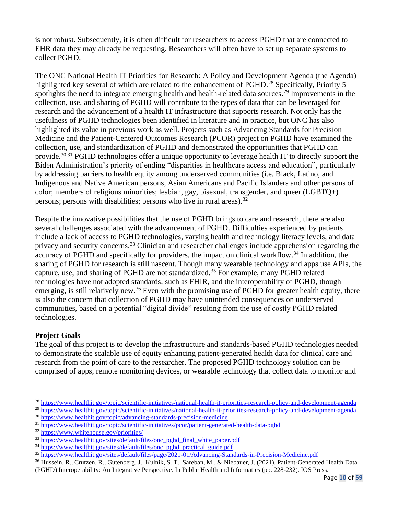is not robust. Subsequently, it is often difficult for researchers to access PGHD that are connected to EHR data they may already be requesting. Researchers will often have to set up separate systems to collect PGHD.

The ONC National Health IT Priorities for Research: A Policy and Development Agenda (the Agenda) highlighted key several of which are related to the enhancement of PGHD.<sup>28</sup> Specifically, Priority 5 spotlights the need to integrate emerging health and health-related data sources.<sup>29</sup> Improvements in the collection, use, and sharing of PGHD will contribute to the types of data that can be leveraged for research and the advancement of a health IT infrastructure that supports research. Not only has the usefulness of PGHD technologies been identified in literature and in practice, but ONC has also highlighted its value in previous work as well. Projects such as Advancing Standards for Precision Medicine and the Patient-Centered Outcomes Research (PCOR) project on PGHD have examined the collection, use, and standardization of PGHD and demonstrated the opportunities that PGHD can provide.<sup>30,31</sup> PGHD technologies offer a unique opportunity to leverage health IT to directly support the Biden Administration's priority of ending "disparities in healthcare access and education", particularly by addressing barriers to health equity among underserved communities (i.e. Black, Latino, and Indigenous and Native American persons, Asian Americans and Pacific Islanders and other persons of color; members of religious minorities; lesbian, gay, bisexual, transgender, and queer (LGBTQ+) persons; persons with disabilities; persons who live in rural areas).  $32$ 

Despite the innovative possibilities that the use of PGHD brings to care and research, there are also several challenges associated with the advancement of PGHD. Difficulties experienced by patients include a lack of access to PGHD technologies, varying health and technology literacy levels, and data privacy and security concerns.<sup>33</sup> Clinician and researcher challenges include apprehension regarding the accuracy of PGHD and specifically for providers, the impact on clinical workflow.<sup>34</sup> In addition, the sharing of PGHD for research is still nascent. Though many wearable technology and apps use APIs, the capture, use, and sharing of PGHD are not standardized.<sup>35</sup> For example, many PGHD related technologies have not adopted standards, such as FHIR, and the interoperability of PGHD, though emerging, is still relatively new.<sup>36</sup> Even with the promising use of PGHD for greater health equity, there is also the concern that collection of PGHD may have unintended consequences on underserved communities, based on a potential "digital divide" resulting from the use of costly PGHD related technologies.

## **Project Goals**

The goal of this project is to develop the infrastructure and standards-based PGHD technologies needed to demonstrate the scalable use of equity enhancing patient-generated health data for clinical care and research from the point of care to the researcher. The proposed PGHD technology solution can be comprised of apps, remote monitoring devices, or wearable technology that collect data to monitor and

<sup>28</sup> <https://www.healthit.gov/topic/scientific-initiatives/national-health-it-priorities-research-policy-and-development-agenda>

<sup>&</sup>lt;sup>29</sup> <https://www.healthit.gov/topic/scientific-initiatives/national-health-it-priorities-research-policy-and-development-agenda> <sup>30</sup> <https://www.healthit.gov/topic/advancing-standards-precision-medicine>

<sup>31</sup> <https://www.healthit.gov/topic/scientific-initiatives/pcor/patient-generated-health-data-pghd>

<sup>32</sup> <https://www.whitehouse.gov/priorities/>

<sup>&</sup>lt;sup>33</sup> [https://www.healthit.gov/sites/default/files/onc\\_pghd\\_final\\_white\\_paper.pdf](https://www.healthit.gov/sites/default/files/onc_pghd_final_white_paper.pdf)

<sup>&</sup>lt;sup>34</sup> [https://www.healthit.gov/sites/default/files/onc\\_pghd\\_practical\\_guide.pdf](https://www.healthit.gov/sites/default/files/onc_pghd_practical_guide.pdf)

<sup>35</sup> <https://www.healthit.gov/sites/default/files/page/2021-01/Advancing-Standards-in-Precision-Medicine.pdf>

<sup>36</sup> Hussein, R., Crutzen, R., Gutenberg, J., Kulnik, S. T., Sareban, M., & Niebauer, J. (2021). Patient-Generated Health Data (PGHD) Interoperability: An Integrative Perspective. In Public Health and Informatics (pp. 228-232). IOS Press.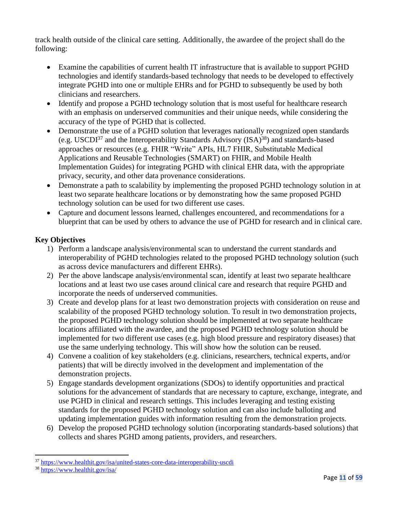track health outside of the clinical care setting. Additionally, the awardee of the project shall do the following:

- Examine the capabilities of current health IT infrastructure that is available to support PGHD technologies and identify standards-based technology that needs to be developed to effectively integrate PGHD into one or multiple EHRs and for PGHD to subsequently be used by both clinicians and researchers.
- Identify and propose a PGHD technology solution that is most useful for healthcare research with an emphasis on underserved communities and their unique needs, while considering the accuracy of the type of PGHD that is collected.
- Demonstrate the use of a PGHD solution that leverages nationally recognized open standards (e.g. USCDI<sup>37</sup> and the Interoperability Standards Advisory (ISA)<sup>38</sup>) and standards-based approaches or resources (e.g. FHIR "Write" APIs, HL7 FHIR, Substitutable Medical Applications and Reusable Technologies (SMART) on FHIR, and Mobile Health Implementation Guides) for integrating PGHD with clinical EHR data, with the appropriate privacy, security, and other data provenance considerations.
- Demonstrate a path to scalability by implementing the proposed PGHD technology solution in at least two separate healthcare locations or by demonstrating how the same proposed PGHD technology solution can be used for two different use cases.
- Capture and document lessons learned, challenges encountered, and recommendations for a blueprint that can be used by others to advance the use of PGHD for research and in clinical care.

## **Key Objectives**

- 1) Perform a landscape analysis/environmental scan to understand the current standards and interoperability of PGHD technologies related to the proposed PGHD technology solution (such as across device manufacturers and different EHRs).
- 2) Per the above landscape analysis/environmental scan, identify at least two separate healthcare locations and at least two use cases around clinical care and research that require PGHD and incorporate the needs of underserved communities.
- 3) Create and develop plans for at least two demonstration projects with consideration on reuse and scalability of the proposed PGHD technology solution. To result in two demonstration projects, the proposed PGHD technology solution should be implemented at two separate healthcare locations affiliated with the awardee, and the proposed PGHD technology solution should be implemented for two different use cases (e.g. high blood pressure and respiratory diseases) that use the same underlying technology. This will show how the solution can be reused.
- 4) Convene a coalition of key stakeholders (e.g. clinicians, researchers, technical experts, and/or patients) that will be directly involved in the development and implementation of the demonstration projects.
- 5) Engage standards development organizations (SDOs) to identify opportunities and practical solutions for the advancement of standards that are necessary to capture, exchange, integrate, and use PGHD in clinical and research settings. This includes leveraging and testing existing standards for the proposed PGHD technology solution and can also include balloting and updating implementation guides with information resulting from the demonstration projects.
- 6) Develop the proposed PGHD technology solution (incorporating standards-based solutions) that collects and shares PGHD among patients, providers, and researchers.

<sup>&</sup>lt;sup>37</sup> <https://www.healthit.gov/isa/united-states-core-data-interoperability-uscdi>

<sup>38</sup> <https://www.healthit.gov/isa/>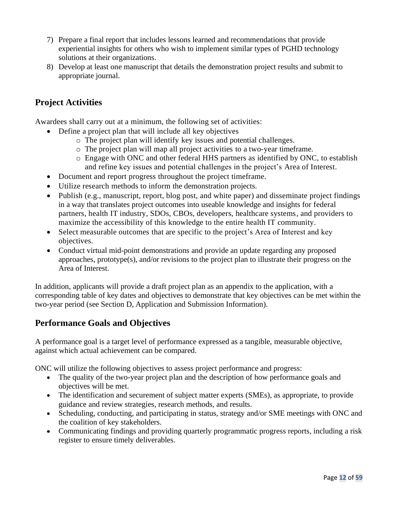- 7) Prepare a final report that includes lessons learned and recommendations that provide experiential insights for others who wish to implement similar types of PGHD technology solutions at their organizations.
- 8) Develop at least one manuscript that details the demonstration project results and submit to appropriate journal.

# **Project Activities**

Awardees shall carry out at a minimum, the following set of activities:

- Define a project plan that will include all key objectives
	- o The project plan will identify key issues and potential challenges.
	- o The project plan will map all project activities to a two-year timeframe.
	- o Engage with ONC and other federal HHS partners as identified by ONC, to establish and refine key issues and potential challenges in the project's Area of Interest.
- Document and report progress throughout the project timeframe.
- Utilize research methods to inform the demonstration projects.
- Publish (e.g., manuscript, report, blog post, and white paper) and disseminate project findings in a way that translates project outcomes into useable knowledge and insights for federal partners, health IT industry, SDOs, CBOs, developers, healthcare systems, and providers to maximize the accessibility of this knowledge to the entire health IT community.
- Select measurable outcomes that are specific to the project's Area of Interest and key objectives.
- Conduct virtual mid-point demonstrations and provide an update regarding any proposed approaches, prototype(s), and/or revisions to the project plan to illustrate their progress on the Area of Interest.

In addition, applicants will provide a draft project plan as an appendix to the application, with a corresponding table of key dates and objectives to demonstrate that key objectives can be met within the two-year period (see Section D, Application and Submission Information).

# **Performance Goals and Objectives**

A performance goal is a target level of performance expressed as a tangible, measurable objective, against which actual achievement can be compared.

ONC will utilize the following objectives to assess project performance and progress:

- The quality of the two-year project plan and the description of how performance goals and objectives will be met.
- The identification and securement of subject matter experts (SMEs), as appropriate, to provide guidance and review strategies, research methods, and results.
- Scheduling, conducting, and participating in status, strategy and/or SME meetings with ONC and the coalition of key stakeholders.
- Communicating findings and providing quarterly programmatic progress reports, including a risk register to ensure timely deliverables.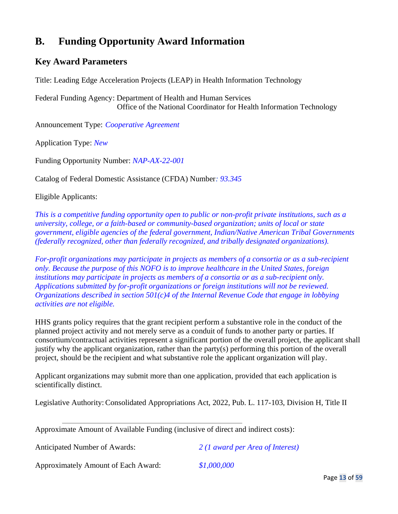# **B. Funding Opportunity Award Information**

# **Key Award Parameters**

Title: Leading Edge Acceleration Projects (LEAP) in Health Information Technology

Federal Funding Agency: Department of Health and Human Services Office of the National Coordinator for Health Information Technology

Announcement Type: *Cooperative Agreement*

Application Type: *New*

Funding Opportunity Number: *NAP-AX-22-001*

Catalog of Federal Domestic Assistance (CFDA) Number*: 93.345*

Eligible Applicants:

*This is a competitive funding opportunity open to public or non-profit private institutions, such as a university, college, or a faith-based or community-based organization; units of local or state government, eligible agencies of the federal government, Indian/Native American Tribal Governments (federally recognized, other than federally recognized, and tribally designated organizations).*

*For-profit organizations may participate in projects as members of a consortia or as a sub-recipient only. Because the purpose of this NOFO is to improve healthcare in the United States, foreign institutions may participate in projects as members of a consortia or as a sub-recipient only. Applications submitted by for-profit organizations or foreign institutions will not be reviewed. Organizations described in section 501(c)4 of the Internal Revenue Code that engage in lobbying activities are not eligible.*

HHS grants policy requires that the grant recipient perform a substantive role in the conduct of the planned project activity and not merely serve as a conduit of funds to another party or parties. If consortium/contractual activities represent a significant portion of the overall project, the applicant shall justify why the applicant organization, rather than the party(s) performing this portion of the overall project, should be the recipient and what substantive role the applicant organization will play.

Applicant organizations may submit more than one application, provided that each application is scientifically distinct.

Legislative Authority:Consolidated Appropriations Act, 2022, Pub. L. 117-103, Division H, Title II

Approximate Amount of Available Funding (inclusive of direct and indirect costs):

Anticipated Number of Awards: *2 (1 award per Area of Interest)*

Approximately Amount of Each Award: *\$1,000,000*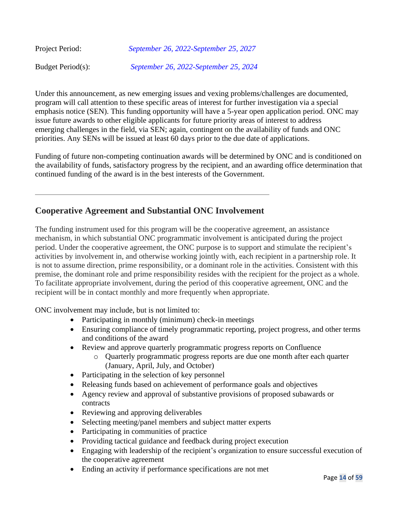| Project Period:   | September 26, 2022-September 25, 2027 |
|-------------------|---------------------------------------|
| Budget Period(s): | September 26, 2022-September 25, 2024 |

Under this announcement, as new emerging issues and vexing problems/challenges are documented, program will call attention to these specific areas of interest for further investigation via a special emphasis notice (SEN). This funding opportunity will have a 5-year open application period. ONC may issue future awards to other eligible applicants for future priority areas of interest to address emerging challenges in the field, via SEN; again, contingent on the availability of funds and ONC priorities. Any SENs will be issued at least 60 days prior to the due date of applications.

Funding of future non-competing continuation awards will be determined by ONC and is conditioned on the availability of funds, satisfactory progress by the recipient, and an awarding office determination that continued funding of the award is in the best interests of the Government.

# **Cooperative Agreement and Substantial ONC Involvement**

The funding instrument used for this program will be the cooperative agreement, an assistance mechanism, in which substantial ONC programmatic involvement is anticipated during the project period. Under the cooperative agreement, the ONC purpose is to support and stimulate the recipient's activities by involvement in, and otherwise working jointly with, each recipient in a partnership role. It is not to assume direction, prime responsibility, or a dominant role in the activities. Consistent with this premise, the dominant role and prime responsibility resides with the recipient for the project as a whole. To facilitate appropriate involvement, during the period of this cooperative agreement, ONC and the recipient will be in contact monthly and more frequently when appropriate.

ONC involvement may include, but is not limited to:

- Participating in monthly (minimum) check-in meetings
- Ensuring compliance of timely programmatic reporting, project progress, and other terms and conditions of the award
- Review and approve quarterly programmatic progress reports on Confluence
	- o Quarterly programmatic progress reports are due one month after each quarter (January, April, July, and October)
- Participating in the selection of key personnel
- Releasing funds based on achievement of performance goals and objectives
- Agency review and approval of substantive provisions of proposed subawards or contracts
- Reviewing and approving deliverables
- Selecting meeting/panel members and subject matter experts
- Participating in communities of practice
- Providing tactical guidance and feedback during project execution
- Engaging with leadership of the recipient's organization to ensure successful execution of the cooperative agreement
- Ending an activity if performance specifications are not met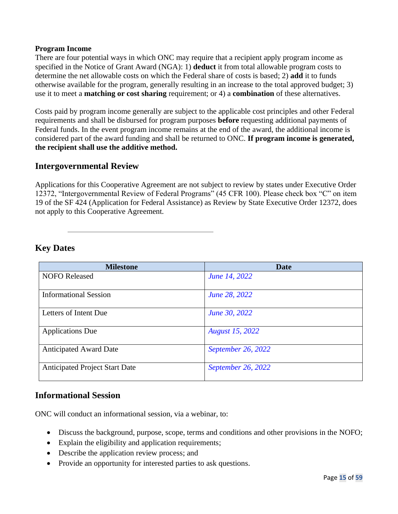#### **Program Income**

There are four potential ways in which ONC may require that a recipient apply program income as specified in the Notice of Grant Award (NGA): 1) **deduct** it from total allowable program costs to determine the net allowable costs on which the Federal share of costs is based; 2) **add** it to funds otherwise available for the program, generally resulting in an increase to the total approved budget; 3) use it to meet a **matching or cost sharing** requirement; or 4) a **combination** of these alternatives.

Costs paid by program income generally are subject to the applicable cost principles and other Federal requirements and shall be disbursed for program purposes **before** requesting additional payments of Federal funds. In the event program income remains at the end of the award, the additional income is considered part of the award funding and shall be returned to ONC. **If program income is generated, the recipient shall use the additive method.**

## **Intergovernmental Review**

Applications for this Cooperative Agreement are not subject to review by states under Executive Order 12372, "Intergovernmental Review of Federal Programs" (45 CFR 100). Please check box "C" on item 19 of the SF 424 (Application for Federal Assistance) as Review by State Executive Order 12372, does not apply to this Cooperative Agreement.

**Key Dates**

| <b>Milestone</b>                      | <b>Date</b>            |
|---------------------------------------|------------------------|
| <b>NOFO</b> Released                  | June 14, 2022          |
|                                       |                        |
| <b>Informational Session</b>          | June 28, 2022          |
| Letters of Intent Due                 | June 30, 2022          |
| <b>Applications Due</b>               | <b>August 15, 2022</b> |
| <b>Anticipated Award Date</b>         | September 26, 2022     |
| <b>Anticipated Project Start Date</b> | September 26, 2022     |

# **Informational Session**

ONC will conduct an informational session, via a webinar, to:

- Discuss the background, purpose, scope, terms and conditions and other provisions in the NOFO;
- Explain the eligibility and application requirements;
- Describe the application review process; and
- Provide an opportunity for interested parties to ask questions.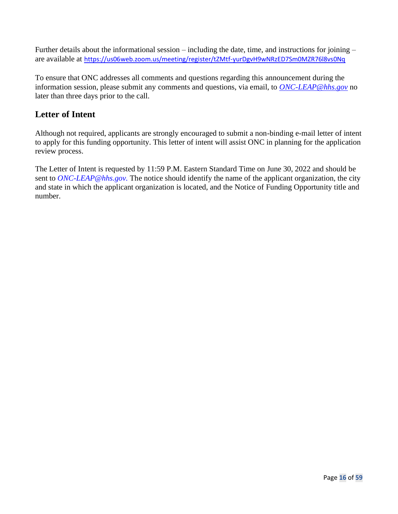Further details about the informational session – including the date, time, and instructions for joining – are available at [https://us06web.zoom.us/meeting/register/tZMtf-yurDgvH9wNRzED7Sm0MZR76l8vs0Nq](https://gcc02.safelinks.protection.outlook.com/?url=https%3A%2F%2Fus06web.zoom.us%2Fmeeting%2Fregister%2FtZMtf-yurDgvH9wNRzED7Sm0MZR76l8vs0Nq&data=05%7C01%7CYolonda.Thompson%40hhs.gov%7C8a809188d71e4e0cfbae08da39d04b55%7Cd58addea50534a808499ba4d944910df%7C0%7C0%7C637885864748364884%7CUnknown%7CTWFpbGZsb3d8eyJWIjoiMC4wLjAwMDAiLCJQIjoiV2luMzIiLCJBTiI6Ik1haWwiLCJXVCI6Mn0%3D%7C3000%7C%7C%7C&sdata=Dpc%2BCFt0yxoszbD8eiv%2B2lG9NxZkdiEMjCr9It2QhzM%3D&reserved=0)

To ensure that ONC addresses all comments and questions regarding this announcement during the information session, please submit any comments and questions, via email, to *[ONC-LEAP@hhs.gov](mailto:ONC-LEAP@hhs.gov)* no later than three days prior to the call.

# **Letter of Intent**

Although not required, applicants are strongly encouraged to submit a non-binding e-mail letter of intent to apply for this funding opportunity. This letter of intent will assist ONC in planning for the application review process.

The Letter of Intent is requested by 11:59 P.M. Eastern Standard Time on June 30, 2022 and should be sent to *ONC-LEAP@hhs.gov.* The notice should identify the name of the applicant organization, the city and state in which the applicant organization is located, and the Notice of Funding Opportunity title and number.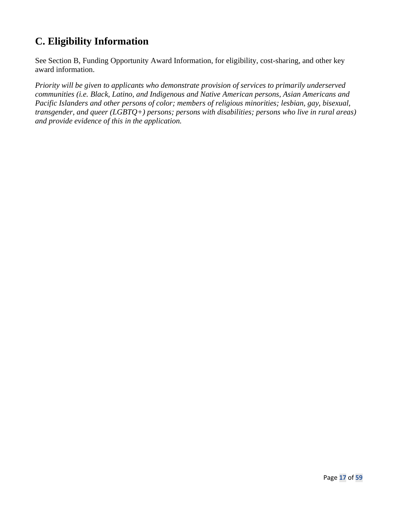# **C. Eligibility Information**

See Section B, Funding Opportunity Award Information, for eligibility, cost-sharing, and other key award information.

*Priority will be given to applicants who demonstrate provision of services to primarily underserved communities (i.e. Black, Latino, and Indigenous and Native American persons, Asian Americans and Pacific Islanders and other persons of color; members of religious minorities; lesbian, gay, bisexual, transgender, and queer (LGBTQ+) persons; persons with disabilities; persons who live in rural areas) and provide evidence of this in the application.*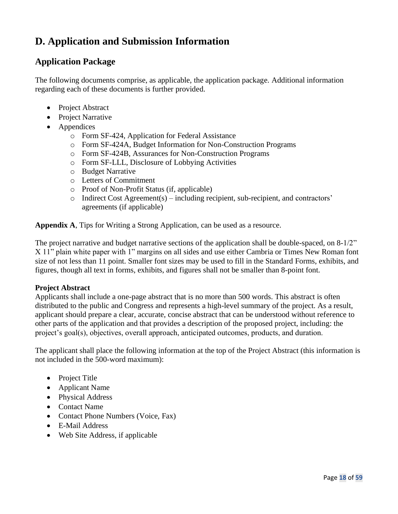# **D. Application and Submission Information**

# **Application Package**

The following documents comprise, as applicable, the application package. Additional information regarding each of these documents is further provided.

- Project Abstract
- Project Narrative
- Appendices
	- o Form SF-424, Application for Federal Assistance
	- o Form SF-424A, Budget Information for Non-Construction Programs
	- o Form SF-424B, Assurances for Non-Construction Programs
	- o Form SF-LLL, Disclosure of Lobbying Activities
	- o Budget Narrative
	- o Letters of Commitment
	- o Proof of Non-Profit Status (if, applicable)
	- o Indirect Cost Agreement(s) including recipient, sub-recipient, and contractors' agreements (if applicable)

**Appendix A**, Tips for Writing a Strong Application, can be used as a resource.

The project narrative and budget narrative sections of the application shall be double-spaced, on 8-1/2" X 11" plain white paper with 1" margins on all sides and use either Cambria or Times New Roman font size of not less than 11 point. Smaller font sizes may be used to fill in the Standard Forms, exhibits, and figures, though all text in forms, exhibits, and figures shall not be smaller than 8-point font.

#### **Project Abstract**

Applicants shall include a one-page abstract that is no more than 500 words. This abstract is often distributed to the public and Congress and represents a high-level summary of the project. As a result, applicant should prepare a clear, accurate, concise abstract that can be understood without reference to other parts of the application and that provides a description of the proposed project, including: the project's goal(s), objectives, overall approach, anticipated outcomes, products, and duration.

The applicant shall place the following information at the top of the Project Abstract (this information is not included in the 500-word maximum):

- Project Title
- Applicant Name
- Physical Address
- Contact Name
- Contact Phone Numbers (Voice, Fax)
- E-Mail Address
- Web Site Address, if applicable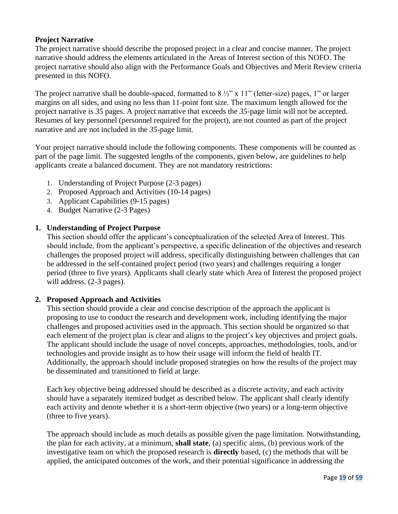## **Project Narrative**

The project narrative should describe the proposed project in a clear and concise manner. The project narrative should address the elements articulated in the Areas of Interest section of this NOFO. The project narrative should also align with the Performance Goals and Objectives and Merit Review criteria presented in this NOFO.

The project narrative shall be double-spaced, formatted to  $8\frac{1}{2}$ " x 11" (letter-size) pages, 1" or larger margins on all sides, and using no less than 11-point font size. The maximum length allowed for the project narrative is *35* pages. A project narrative that exceeds the *35-*page limit will not be accepted. Resumes of key personnel (personnel required for the project), are not counted as part of the project narrative and are not included in the *35*-page limit.

Your project narrative should include the following components. These components will be counted as part of the page limit. The suggested lengths of the components, given below, are guidelines to help applicants create a balanced document. They are not mandatory restrictions:

- 1. Understanding of Project Purpose (2-3 pages)
- 2. Proposed Approach and Activities (10-14 pages)
- 3. Applicant Capabilities (9-15 pages)
- 4. Budget Narrative (2-3 Pages)

#### **1. Understanding of Project Purpose**

This section should offer the applicant's conceptualization of the selected Area of Interest. This should include, from the applicant's perspective, a specific delineation of the objectives and research challenges the proposed project will address, specifically distinguishing between challenges that can be addressed in the self-contained project period (two years) and challenges requiring a longer period (three to five years). Applicants shall clearly state which Area of Interest the proposed project will address. (2-3 pages).

### **2. Proposed Approach and Activities**

This section should provide a clear and concise description of the approach the applicant is proposing to use to conduct the research and development work, including identifying the major challenges and proposed activities used in the approach. This section should be organized so that each element of the project plan is clear and aligns to the project's key objectives and project goals. The applicant should include the usage of novel concepts, approaches, methodologies, tools, and/or technologies and provide insight as to how their usage will inform the field of health IT. Additionally, the approach should include proposed strategies on how the results of the project may be disseminated and transitioned to field at large.

Each key objective being addressed should be described as a discrete activity, and each activity should have a separately itemized budget as described below. The applicant shall clearly identify each activity and denote whether it is a short-term objective (two years) or a long-term objective (three to five years).

The approach should include as much details as possible given the page limitation. Notwithstanding, the plan for each activity, at a minimum, **shall state**, (a) specific aims, (b) previous work of the investigative team on which the proposed research is **directly** based, (c) the methods that will be applied, the anticipated outcomes of the work, and their potential significance in addressing the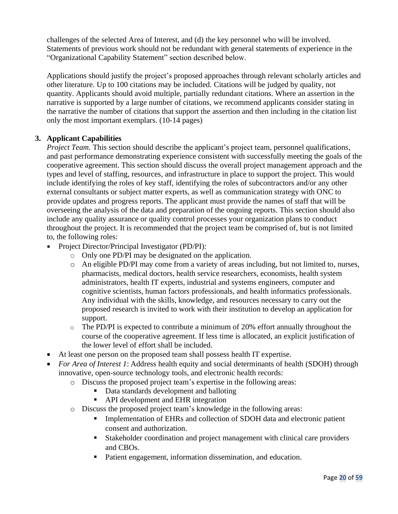challenges of the selected Area of Interest, and (d) the key personnel who will be involved. Statements of previous work should not be redundant with general statements of experience in the "Organizational Capability Statement" section described below.

Applications should justify the project's proposed approaches through relevant scholarly articles and other literature. Up to 100 citations may be included. Citations will be judged by quality, not quantity. Applicants should avoid multiple, partially redundant citations. Where an assertion in the narrative is supported by a large number of citations, we recommend applicants consider stating in the narrative the number of citations that support the assertion and then including in the citation list only the most important exemplars. (10-14 pages)

### **3. Applicant Capabilities**

*Project Team.* This section should describe the applicant's project team, personnel qualifications, and past performance demonstrating experience consistent with successfully meeting the goals of the cooperative agreement. This section should discuss the overall project management approach and the types and level of staffing, resources, and infrastructure in place to support the project. This would include identifying the roles of key staff, identifying the roles of subcontractors and/or any other external consultants or subject matter experts, as well as communication strategy with ONC to provide updates and progress reports. The applicant must provide the names of staff that will be overseeing the analysis of the data and preparation of the ongoing reports. This section should also include any quality assurance or quality control processes your organization plans to conduct throughout the project. It is recommended that the project team be comprised of, but is not limited to, the following roles:

- Project Director/Principal Investigator (PD/PI):
	- o Only one PD/PI may be designated on the application.
	- o An eligible PD/PI may come from a variety of areas including, but not limited to, nurses, pharmacists, medical doctors, health service researchers, economists, health system administrators, health IT experts, industrial and systems engineers, computer and cognitive scientists, human factors professionals, and health informatics professionals. Any individual with the skills, knowledge, and resources necessary to carry out the proposed research is invited to work with their institution to develop an application for support.
	- o The PD/PI is expected to contribute a minimum of 20% effort annually throughout the course of the cooperative agreement. If less time is allocated, an explicit justification of the lower level of effort shall be included.
- At least one person on the proposed team shall possess health IT expertise.
- *For Area of Interest 1*: Address health equity and social determinants of health (SDOH) through innovative, open-source technology tools, and electronic health records:
	- o Discuss the proposed project team's expertise in the following areas:
		- Data standards development and balloting
		- API development and EHR integration
	- o Discuss the proposed project team's knowledge in the following areas:
		- Implementation of EHRs and collection of SDOH data and electronic patient consent and authorization.
		- Stakeholder coordination and project management with clinical care providers and CBOs.
		- Patient engagement, information dissemination, and education.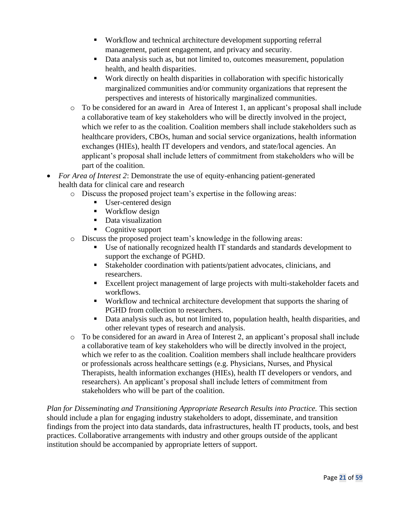- Workflow and technical architecture development supporting referral management, patient engagement, and privacy and security.
- **•** Data analysis such as, but not limited to, outcomes measurement, population health, and health disparities.
- Work directly on health disparities in collaboration with specific historically marginalized communities and/or community organizations that represent the perspectives and interests of historically marginalized communities.
- o To be considered for an award in Area of Interest 1, an applicant's proposal shall include a collaborative team of key stakeholders who will be directly involved in the project, which we refer to as the coalition. Coalition members shall include stakeholders such as healthcare providers, CBOs, human and social service organizations, health information exchanges (HIEs), health IT developers and vendors, and state/local agencies. An applicant's proposal shall include letters of commitment from stakeholders who will be part of the coalition.
- *For Area of Interest 2*: Demonstrate the use of equity-enhancing patient-generated health data for clinical care and research
	- o Discuss the proposed project team's expertise in the following areas:
		- User-centered design
		- Workflow design
		- Data visualization
		- Cognitive support
	- o Discuss the proposed project team's knowledge in the following areas:
		- Use of nationally recognized health IT standards and standards development to support the exchange of PGHD.
		- Stakeholder coordination with patients/patient advocates, clinicians, and researchers.
		- Excellent project management of large projects with multi-stakeholder facets and workflows.
		- Workflow and technical architecture development that supports the sharing of PGHD from collection to researchers.
		- **•** Data analysis such as, but not limited to, population health, health disparities, and other relevant types of research and analysis.
	- $\circ$  To be considered for an award in Area of Interest 2, an applicant's proposal shall include a collaborative team of key stakeholders who will be directly involved in the project, which we refer to as the coalition. Coalition members shall include healthcare providers or professionals across healthcare settings (e.g. Physicians, Nurses, and Physical Therapists, health information exchanges (HIEs), health IT developers or vendors, and researchers). An applicant's proposal shall include letters of commitment from stakeholders who will be part of the coalition.

*Plan for Disseminating and Transitioning Appropriate Research Results into Practice.* This section should include a plan for engaging industry stakeholders to adopt, disseminate, and transition findings from the project into data standards, data infrastructures, health IT products, tools, and best practices. Collaborative arrangements with industry and other groups outside of the applicant institution should be accompanied by appropriate letters of support.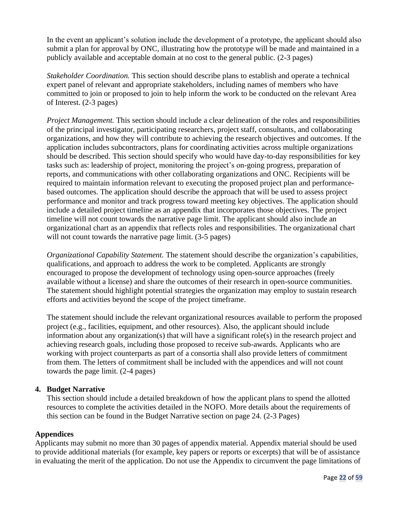In the event an applicant's solution include the development of a prototype, the applicant should also submit a plan for approval by ONC, illustrating how the prototype will be made and maintained in a publicly available and acceptable domain at no cost to the general public. (2-3 pages)

*Stakeholder Coordination.* This section should describe plans to establish and operate a technical expert panel of relevant and appropriate stakeholders, including names of members who have committed to join or proposed to join to help inform the work to be conducted on the relevant Area of Interest. (2-3 pages)

*Project Management.* This section should include a clear delineation of the roles and responsibilities of the principal investigator, participating researchers, project staff, consultants, and collaborating organizations, and how they will contribute to achieving the research objectives and outcomes. If the application includes subcontractors, plans for coordinating activities across multiple organizations should be described. This section should specify who would have day-to-day responsibilities for key tasks such as: leadership of project, monitoring the project's on-going progress, preparation of reports, and communications with other collaborating organizations and ONC. Recipients will be required to maintain information relevant to executing the proposed project plan and performancebased outcomes. The application should describe the approach that will be used to assess project performance and monitor and track progress toward meeting key objectives. The application should include a detailed project timeline as an appendix that incorporates those objectives. The project timeline will not count towards the narrative page limit. The applicant should also include an organizational chart as an appendix that reflects roles and responsibilities. The organizational chart will not count towards the narrative page limit. (3-5 pages)

*Organizational Capability Statement.* The statement should describe the organization's capabilities, qualifications, and approach to address the work to be completed. Applicants are strongly encouraged to propose the development of technology using open-source approaches (freely available without a license) and share the outcomes of their research in open-source communities. The statement should highlight potential strategies the organization may employ to sustain research efforts and activities beyond the scope of the project timeframe.

The statement should include the relevant organizational resources available to perform the proposed project (e.g., facilities, equipment, and other resources). Also, the applicant should include information about any organization(s) that will have a significant role(s) in the research project and achieving research goals, including those proposed to receive sub-awards. Applicants who are working with project counterparts as part of a consortia shall also provide letters of commitment from them. The letters of commitment shall be included with the appendices and will not count towards the page limit. (2-4 pages)

#### **4. Budget Narrative**

This section should include a detailed breakdown of how the applicant plans to spend the allotted resources to complete the activities detailed in the NOFO. More details about the requirements of this section can be found in the Budget Narrative section on page 24. (2-3 Pages)

#### **Appendices**

Applicants may submit no more than 30 pages of appendix material. Appendix material should be used to provide additional materials (for example, key papers or reports or excerpts) that will be of assistance in evaluating the merit of the application. Do not use the Appendix to circumvent the page limitations of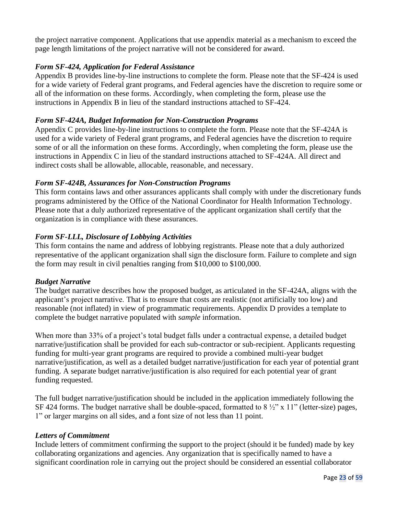the project narrative component. Applications that use appendix material as a mechanism to exceed the page length limitations of the project narrative will not be considered for award.

## *Form SF-424, Application for Federal Assistance*

Appendix B provides line-by-line instructions to complete the form. Please note that the SF-424 is used for a wide variety of Federal grant programs, and Federal agencies have the discretion to require some or all of the information on these forms. Accordingly, when completing the form, please use the instructions in Appendix B in lieu of the standard instructions attached to SF-424.

### *Form SF-424A, Budget Information for Non-Construction Programs*

Appendix C provides line-by-line instructions to complete the form. Please note that the SF-424A is used for a wide variety of Federal grant programs, and Federal agencies have the discretion to require some of or all the information on these forms. Accordingly, when completing the form, please use the instructions in Appendix C in lieu of the standard instructions attached to SF-424A. All direct and indirect costs shall be allowable, allocable, reasonable, and necessary.

### *Form SF-424B, Assurances for Non-Construction Programs*

This form contains laws and other assurances applicants shall comply with under the discretionary funds programs administered by the Office of the National Coordinator for Health Information Technology. Please note that a duly authorized representative of the applicant organization shall certify that the organization is in compliance with these assurances.

### *Form SF-LLL, Disclosure of Lobbying Activities*

This form contains the name and address of lobbying registrants. Please note that a duly authorized representative of the applicant organization shall sign the disclosure form. Failure to complete and sign the form may result in civil penalties ranging from \$10,000 to \$100,000.

#### *Budget Narrative*

The budget narrative describes how the proposed budget, as articulated in the SF-424A, aligns with the applicant's project narrative. That is to ensure that costs are realistic (not artificially too low) and reasonable (not inflated) in view of programmatic requirements. Appendix D provides a template to complete the budget narrative populated with *sample* information.

When more than 33% of a project's total budget falls under a contractual expense, a detailed budget narrative/justification shall be provided for each sub-contractor or sub-recipient. Applicants requesting funding for multi-year grant programs are required to provide a combined multi-year budget narrative/justification, as well as a detailed budget narrative/justification for each year of potential grant funding. A separate budget narrative/justification is also required for each potential year of grant funding requested.

The full budget narrative/justification should be included in the application immediately following the SF 424 forms. The budget narrative shall be double-spaced, formatted to  $8\frac{1}{2}$ " x 11" (letter-size) pages, 1" or larger margins on all sides, and a font size of not less than 11 point.

#### *Letters of Commitment*

Include letters of commitment confirming the support to the project (should it be funded) made by key collaborating organizations and agencies. Any organization that is specifically named to have a significant coordination role in carrying out the project should be considered an essential collaborator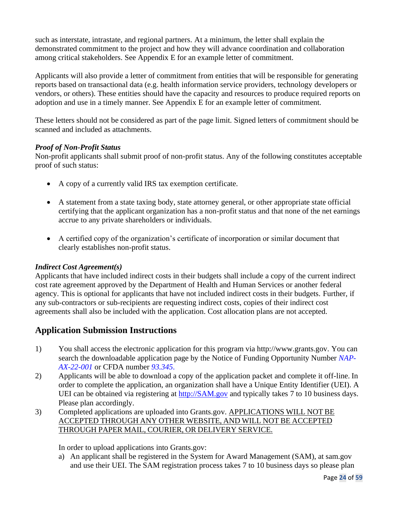such as interstate, intrastate, and regional partners. At a minimum, the letter shall explain the demonstrated commitment to the project and how they will advance coordination and collaboration among critical stakeholders. See Appendix E for an example letter of commitment.

Applicants will also provide a letter of commitment from entities that will be responsible for generating reports based on transactional data (e.g. health information service providers, technology developers or vendors, or others). These entities should have the capacity and resources to produce required reports on adoption and use in a timely manner. See Appendix E for an example letter of commitment.

These letters should not be considered as part of the page limit. Signed letters of commitment should be scanned and included as attachments.

## *Proof of Non-Profit Status*

Non-profit applicants shall submit proof of non-profit status. Any of the following constitutes acceptable proof of such status:

- A copy of a currently valid IRS tax exemption certificate.
- A statement from a state taxing body, state attorney general, or other appropriate state official certifying that the applicant organization has a non-profit status and that none of the net earnings accrue to any private shareholders or individuals.
- A certified copy of the organization's certificate of incorporation or similar document that clearly establishes non-profit status.

## *Indirect Cost Agreement(s)*

Applicants that have included indirect costs in their budgets shall include a copy of the current indirect cost rate agreement approved by the Department of Health and Human Services or another federal agency. This is optional for applicants that have not included indirect costs in their budgets. Further, if any sub-contractors or sub-recipients are requesting indirect costs, copies of their indirect cost agreements shall also be included with the application. Cost allocation plans are not accepted.

# **Application Submission Instructions**

- 1) You shall access the electronic application for this program via http://www.grants.gov. You can search the downloadable application page by the Notice of Funding Opportunity Number *NAP-AX-22-001* or CFDA number *93.345*.
- 2) Applicants will be able to download a copy of the application packet and complete it off-line. In order to complete the application, an organization shall have a Unique Entity Identifier (UEI). A UEI can be obtained via registering at [http://SAM.gov](http://sam.gov/) and typically takes 7 to 10 business days. Please plan accordingly.
- 3) Completed applications are uploaded into Grants.gov. APPLICATIONS WILL NOT BE ACCEPTED THROUGH ANY OTHER WEBSITE, AND WILL NOT BE ACCEPTED THROUGH PAPER MAIL, COURIER, OR DELIVERY SERVICE.

In order to upload applications into Grants.gov:

a) An applicant shall be registered in the System for Award Management (SAM), at sam.gov and use their UEI. The SAM registration process takes 7 to 10 business days so please plan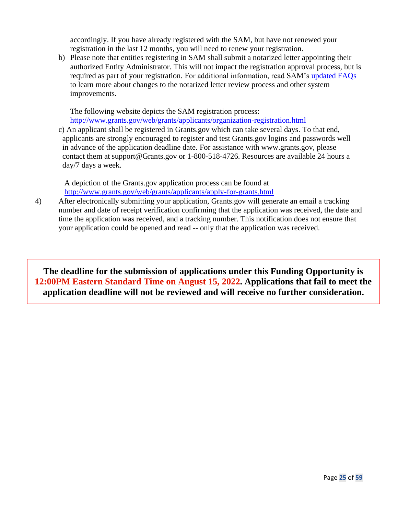accordingly. If you have already registered with the SAM, but have not renewed your registration in the last 12 months, you will need to renew your registration.

b) Please note that entities registering in SAM shall submit a notarized letter appointing their authorized Entity Administrator. This will not impact the registration approval process, but is required as part of your registration. For additional information, read SAM's [updated FAQs](https://www.gsa.gov/about-us/organization/federal-acquisition-service/office-of-systems-management/integrated-award-environment-iae/sam-update) to learn more about changes to the notarized letter review process and other system improvements.

The following website depicts the SAM registration process:

<http://www.grants.gov/web/grants/applicants/organization-registration.html>

c) An applicant shall be registered in Grants.gov which can take several days. To that end, applicants are strongly encouraged to register and test Grants.gov logins and passwords well in advance of the application deadline date. For assistance with www.grants.gov, please contact them at support@Grants.gov or 1-800-518-4726. Resources are available 24 hours a day/7 days a week.

A depiction of the Grants.gov application process can be found at <http://www.grants.gov/web/grants/applicants/apply-for-grants.html>

4) After electronically submitting your application, Grants.gov will generate an email a tracking number and date of receipt verification confirming that the application was received, the date and time the application was received, and a tracking number. This notification does not ensure that your application could be opened and read -- only that the application was received.

**The deadline for the submission of applications under this Funding Opportunity is 12:00PM Eastern Standard Time on August 15, 2022. Applications that fail to meet the application deadline will not be reviewed and will receive no further consideration.**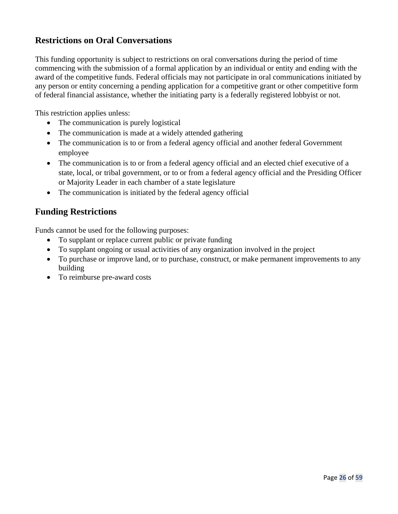# **Restrictions on Oral Conversations**

This funding opportunity is subject to restrictions on oral conversations during the period of time commencing with the submission of a formal application by an individual or entity and ending with the award of the competitive funds. Federal officials may not participate in oral communications initiated by any person or entity concerning a pending application for a competitive grant or other competitive form of federal financial assistance, whether the initiating party is a federally registered lobbyist or not.

This restriction applies unless:

- The communication is purely logistical
- The communication is made at a widely attended gathering
- The communication is to or from a federal agency official and another federal Government employee
- The communication is to or from a federal agency official and an elected chief executive of a state, local, or tribal government, or to or from a federal agency official and the Presiding Officer or Majority Leader in each chamber of a state legislature
- The communication is initiated by the federal agency official

# **Funding Restrictions**

Funds cannot be used for the following purposes:

- To supplant or replace current public or private funding
- To supplant ongoing or usual activities of any organization involved in the project
- To purchase or improve land, or to purchase, construct, or make permanent improvements to any building
- To reimburse pre-award costs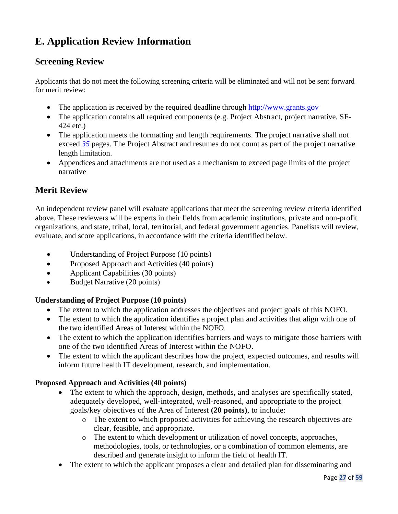# **E. Application Review Information**

# **Screening Review**

Applicants that do not meet the following screening criteria will be eliminated and will not be sent forward for merit review:

- The application is received by the required deadline through [http://www.grants.gov](http://www.grants.gov/)
- The application contains all required components (e.g. Project Abstract, project narrative, SF-424 etc.)
- The application meets the formatting and length requirements. The project narrative shall not exceed *35* pages. The Project Abstract and resumes do not count as part of the project narrative length limitation.
- Appendices and attachments are not used as a mechanism to exceed page limits of the project narrative

# **Merit Review**

An independent review panel will evaluate applications that meet the screening review criteria identified above. These reviewers will be experts in their fields from academic institutions, private and non-profit organizations, and state, tribal, local, territorial, and federal government agencies. Panelists will review, evaluate, and score applications, in accordance with the criteria identified below.

- Understanding of Project Purpose (10 points)
- Proposed Approach and Activities (40 points)
- Applicant Capabilities (30 points)
- Budget Narrative (20 points)

## **Understanding of Project Purpose (10 points)**

- The extent to which the application addresses the objectives and project goals of this NOFO.
- The extent to which the application identifies a project plan and activities that align with one of the two identified Areas of Interest within the NOFO.
- The extent to which the application identifies barriers and ways to mitigate those barriers with one of the two identified Areas of Interest within the NOFO.
- The extent to which the applicant describes how the project, expected outcomes, and results will inform future health IT development, research, and implementation.

## **Proposed Approach and Activities (40 points)**

- The extent to which the approach, design, methods, and analyses are specifically stated, adequately developed, well-integrated, well-reasoned, and appropriate to the project goals/key objectives of the Area of Interest **(20 points)**, to include:
	- o The extent to which proposed activities for achieving the research objectives are clear, feasible, and appropriate.
	- o The extent to which development or utilization of novel concepts, approaches, methodologies, tools, or technologies, or a combination of common elements, are described and generate insight to inform the field of health IT.
- The extent to which the applicant proposes a clear and detailed plan for disseminating and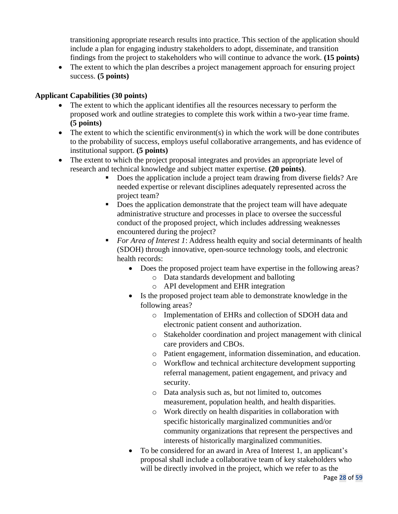transitioning appropriate research results into practice. This section of the application should include a plan for engaging industry stakeholders to adopt, disseminate, and transition findings from the project to stakeholders who will continue to advance the work. **(15 points)**

• The extent to which the plan describes a project management approach for ensuring project success. **(5 points)**

## **Applicant Capabilities (30 points)**

- The extent to which the applicant identifies all the resources necessary to perform the proposed work and outline strategies to complete this work within a two-year time frame. **(5 points)**
- $\bullet$  The extent to which the scientific environment(s) in which the work will be done contributes to the probability of success, employs useful collaborative arrangements, and has evidence of institutional support. **(5 points)**
- The extent to which the project proposal integrates and provides an appropriate level of research and technical knowledge and subject matter expertise. **(20 points)**.
	- Does the application include a project team drawing from diverse fields? Are needed expertise or relevant disciplines adequately represented across the project team?
	- Does the application demonstrate that the project team will have adequate administrative structure and processes in place to oversee the successful conduct of the proposed project, which includes addressing weaknesses encountered during the project?
	- *For Area of Interest 1*: Address health equity and social determinants of health (SDOH) through innovative, open-source technology tools, and electronic health records:
		- Does the proposed project team have expertise in the following areas?
			- o Data standards development and balloting
				- o API development and EHR integration
		- Is the proposed project team able to demonstrate knowledge in the following areas?
			- o Implementation of EHRs and collection of SDOH data and electronic patient consent and authorization.
			- o Stakeholder coordination and project management with clinical care providers and CBOs.
			- o Patient engagement, information dissemination, and education.
			- o Workflow and technical architecture development supporting referral management, patient engagement, and privacy and security.
			- o Data analysis such as, but not limited to, outcomes measurement, population health, and health disparities.
			- o Work directly on health disparities in collaboration with specific historically marginalized communities and/or community organizations that represent the perspectives and interests of historically marginalized communities.
		- To be considered for an award in Area of Interest 1, an applicant's proposal shall include a collaborative team of key stakeholders who will be directly involved in the project, which we refer to as the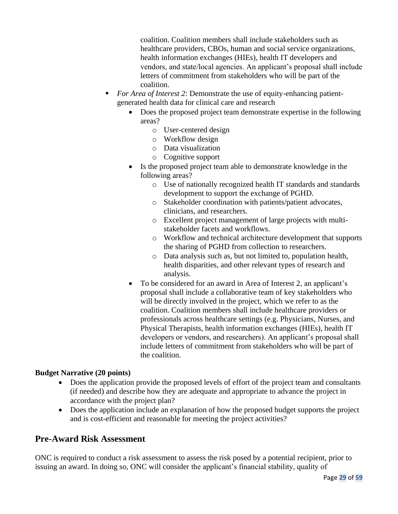coalition. Coalition members shall include stakeholders such as healthcare providers, CBOs, human and social service organizations, health information exchanges (HIEs), health IT developers and vendors, and state/local agencies. An applicant's proposal shall include letters of commitment from stakeholders who will be part of the coalition.

- *For Area of Interest 2*: Demonstrate the use of equity-enhancing patientgenerated health data for clinical care and research
	- Does the proposed project team demonstrate expertise in the following areas?
		- o User-centered design
		- o Workflow design
		- o Data visualization
		- o Cognitive support
	- Is the proposed project team able to demonstrate knowledge in the following areas?
		- o Use of nationally recognized health IT standards and standards development to support the exchange of PGHD.
		- o Stakeholder coordination with patients/patient advocates, clinicians, and researchers.
		- o Excellent project management of large projects with multistakeholder facets and workflows.
		- o Workflow and technical architecture development that supports the sharing of PGHD from collection to researchers.
		- o Data analysis such as, but not limited to, population health, health disparities, and other relevant types of research and analysis.
	- To be considered for an award in Area of Interest 2, an applicant's proposal shall include a collaborative team of key stakeholders who will be directly involved in the project, which we refer to as the coalition. Coalition members shall include healthcare providers or professionals across healthcare settings (e.g. Physicians, Nurses, and Physical Therapists, health information exchanges (HIEs), health IT developers or vendors, and researchers). An applicant's proposal shall include letters of commitment from stakeholders who will be part of the coalition.

## **Budget Narrative (20 points)**

- Does the application provide the proposed levels of effort of the project team and consultants (if needed) and describe how they are adequate and appropriate to advance the project in accordance with the project plan?
- Does the application include an explanation of how the proposed budget supports the project and is cost-efficient and reasonable for meeting the project activities?

# **Pre-Award Risk Assessment**

ONC is required to conduct a risk assessment to assess the risk posed by a potential recipient, prior to issuing an award. In doing so, ONC will consider the applicant's financial stability, quality of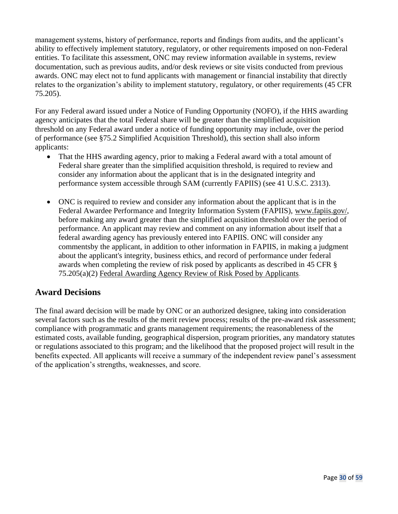management systems, history of performance, reports and findings from audits, and the applicant's ability to effectively implement statutory, regulatory, or other requirements imposed on non-Federal entities. To facilitate this assessment, ONC may review information available in systems, review documentation, such as previous audits, and/or desk reviews or site visits conducted from previous awards. ONC may elect not to fund applicants with management or financial instability that directly relates to the organization's ability to implement statutory, regulatory, or other requirements (45 CFR 75.205).

For any Federal award issued under a Notice of Funding Opportunity (NOFO), if the HHS awarding agency anticipates that the total Federal share will be greater than the simplified acquisition threshold on any Federal award under a notice of funding opportunity may include, over the period of performance (see §75.2 Simplified Acquisition Threshold), this section shall also inform applicants:

- That the HHS awarding agency, prior to making a Federal award with a total amount of Federal share greater than the simplified acquisition threshold, is required to review and consider any information about the applicant that is in the designated integrity and performance system accessible through SAM (currently FAPIIS) (see 41 U.S.C. 2313).
- ONC is required to review and consider any information about the applicant that is in the Federal Awardee Performance and Integrity Information System (FAPIIS), [www.fapiis.gov/,](https://www.fapiis.gov/) before making any award greater than the simplified acquisition threshold over the period of performance. An applicant may review and comment on any information about itself that a federal awarding agency has previously entered into FAPIIS. ONC will consider any commentsby the applicant, in addition to other information in FAPIIS, in making a judgment about the applicant's integrity, business ethics, and record of performance under federal awards when completing the review of risk posed by applicants as described in 45 CFR § 75.205(a)(2) Federal Awarding [Agency Review](https://www.ecfr.gov/cgi-bin/retrieveECFR?gp&SID=2970eec67399fab1413ede53d7895d99&mc=true&n=pt45.1.75&r=PART&ty=HTML&se45.1.75_1205) of Risk Posed by Applicants.

# **Award Decisions**

The final award decision will be made by ONC or an authorized designee, taking into consideration several factors such as the results of the merit review process; results of the pre-award risk assessment; compliance with programmatic and grants management requirements; the reasonableness of the estimated costs, available funding, geographical dispersion, program priorities, any mandatory statutes or regulations associated to this program; and the likelihood that the proposed project will result in the benefits expected. All applicants will receive a summary of the independent review panel's assessment of the application's strengths, weaknesses, and score.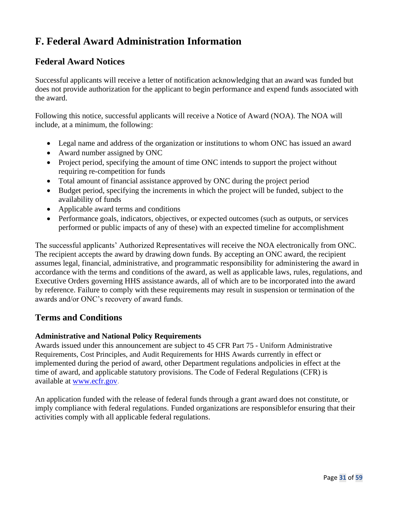# **F. Federal Award Administration Information**

# **Federal Award Notices**

Successful applicants will receive a letter of notification acknowledging that an award was funded but does not provide authorization for the applicant to begin performance and expend funds associated with the award.

Following this notice, successful applicants will receive a Notice of Award (NOA). The NOA will include, at a minimum, the following:

- Legal name and address of the organization or institutions to whom ONC has issued an award
- Award number assigned by ONC
- Project period, specifying the amount of time ONC intends to support the project without requiring re-competition for funds
- Total amount of financial assistance approved by ONC during the project period
- Budget period, specifying the increments in which the project will be funded, subject to the availability of funds
- Applicable award terms and conditions
- Performance goals, indicators, objectives, or expected outcomes (such as outputs, or services performed or public impacts of any of these) with an expected timeline for accomplishment

The successful applicants' Authorized Representatives will receive the NOA electronically from ONC. The recipient accepts the award by drawing down funds. By accepting an ONC award, the recipient assumes legal, financial, administrative, and programmatic responsibility for administering the award in accordance with the terms and conditions of the award, as well as applicable laws, rules, regulations, and Executive Orders governing HHS assistance awards, all of which are to be incorporated into the award by reference. Failure to comply with these requirements may result in suspension or termination of the awards and/or ONC's recovery of award funds.

# **Terms and Conditions**

## **Administrative and National Policy Requirements**

Awards issued under this announcement are subject to 45 CFR Part 75 - Uniform Administrative Requirements, Cost Principles, and Audit Requirements for HHS Awards currently in effect or implemented during the period of award, other Department regulations andpolicies in effect at the time of award, and applicable statutory provisions. The Code of Federal Regulations (CFR) is available at [www.ecfr.gov.](http://www.ecfr.gov/)

An application funded with the release of federal funds through a grant award does not constitute, or imply compliance with federal regulations. Funded organizations are responsiblefor ensuring that their activities comply with all applicable federal regulations.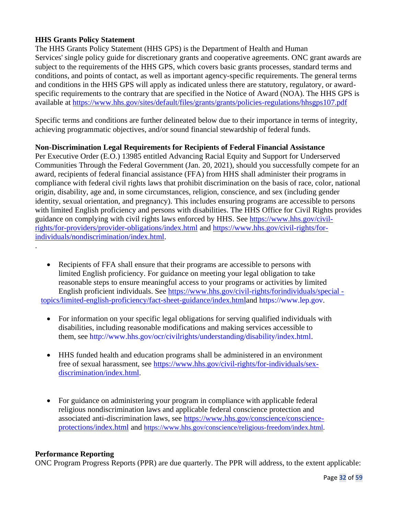## **HHS Grants Policy Statement**

The HHS Grants Policy Statement (HHS GPS) is the Department of Health and Human Services' single policy guide for discretionary grants and cooperative agreements. ONC grant awards are subject to the requirements of the HHS GPS, which covers basic grants processes, standard terms and conditions, and points of contact, as well as important agency-specific requirements. The general terms and conditions in the HHS GPS will apply as indicated unless there are statutory, regulatory, or awardspecific requirements to the contrary that are specified in the Notice of Award (NOA). The HHS GPS is available at<https://www.hhs.gov/sites/default/files/grants/grants/policies-regulations/hhsgps107.pdf>

Specific terms and conditions are further delineated below due to their importance in terms of integrity, achieving programmatic objectives, and/or sound financial stewardship of federal funds.

### **Non-Discrimination Legal Requirements for Recipients of Federal Financial Assistance**

Per Executive Order (E.O.) 13985 entitled Advancing Racial Equity and Support for Underserved Communities Through the Federal Government (Jan. 20, 2021), should you successfully compete for an award, recipients of federal financial assistance (FFA) from HHS shall administer their programs in compliance with federal civil rights laws that prohibit discrimination on the basis of race, color, national origin, disability, age and, in some circumstances, religion, conscience, and sex (including gender identity, sexual orientation, and pregnancy). This includes ensuring programs are accessible to persons with limited English proficiency and persons with disabilities. The HHS Office for Civil Rights provides guidance on complying with civil rights laws enforced by HHS. See [https://www.hhs.gov/civil](https://www.hhs.gov/civil-rights/for-providers/provider-obligations/index.html)[rights/for-providers/provider-obligations/index.html](https://www.hhs.gov/civil-rights/for-providers/provider-obligations/index.html) and [https://www.hhs.gov/civil-rights/for](https://www.hhs.gov/civil-rights/for-individuals/nondiscrimination/index.html)[individuals/nondiscrimination/index.html.](https://www.hhs.gov/civil-rights/for-individuals/nondiscrimination/index.html)

- Recipients of FFA shall ensure that their programs are accessible to persons with limited English proficiency. For guidance on meeting your legal obligation to take reasonable steps to ensure meaningful access to your programs or activities by limited English proficient individuals. See [https://www.hhs.gov/civil-rights/forindividuals/special](https://www.hhs.gov/civil-rights/forindividuals/special%20-%20%20%20%20%20%20%20%20%20%20%20%20topics/limited-english-proficiency/fact-sheet-guidance/index.html)   [topics/limited-english-proficiency/fact-sheet-guidance/index.htmla](https://www.hhs.gov/civil-rights/forindividuals/special%20-%20%20%20%20%20%20%20%20%20%20%20%20topics/limited-english-proficiency/fact-sheet-guidance/index.html)nd [https://www.lep.gov.](https://www.lep.gov/)
	- For information on your specific legal obligations for serving qualified individuals with disabilities, including reasonable modifications and making services accessible to them, see [http://www.hhs.gov/ocr/civilrights/understanding/disability/index.html.](http://www.hhs.gov/ocr/civilrights/understanding/disability/index.html)
	- HHS funded health and education programs shall be administered in an environment free of sexual harassment, see [https://www.hhs.gov/civil-rights/for-individuals/sex](https://www.hhs.gov/civil-rights/for-individuals/sex-discrimination/index.html)[discrimination/index.html.](https://www.hhs.gov/civil-rights/for-individuals/sex-discrimination/index.html)
	- For guidance on administering your program in compliance with applicable federal religious nondiscrimination laws and applicable federal conscience protection and associated anti-discrimination laws, see [https://www.hhs.gov/conscience/conscience](https://www.hhs.gov/conscience/conscience-protections/index.html)[protections/index.html](https://www.hhs.gov/conscience/conscience-protections/index.html) and [https://www.hhs.gov/conscience/religious-freedom/index.html.](https://www.hhs.gov/conscience/religious-freedom/index.html)

#### **Performance Reporting**

.

ONC Program Progress Reports (PPR) are due quarterly. The PPR will address, to the extent applicable: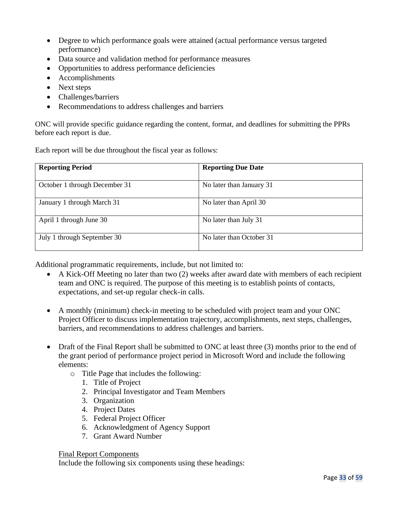- Degree to which performance goals were attained (actual performance versus targeted performance)
- Data source and validation method for performance measures
- Opportunities to address performance deficiencies
- Accomplishments
- Next steps
- Challenges/barriers
- Recommendations to address challenges and barriers

ONC will provide specific guidance regarding the content, format, and deadlines for submitting the PPRs before each report is due.

Each report will be due throughout the fiscal year as follows:

| <b>Reporting Period</b>       | <b>Reporting Due Date</b> |
|-------------------------------|---------------------------|
| October 1 through December 31 | No later than January 31  |
| January 1 through March 31    | No later than April 30    |
| April 1 through June 30       | No later than July 31     |
| July 1 through September 30   | No later than October 31  |

Additional programmatic requirements, include, but not limited to:

- A Kick-Off Meeting no later than two (2) weeks after award date with members of each recipient team and ONC is required. The purpose of this meeting is to establish points of contacts, expectations, and set-up regular check-in calls.
- A monthly (minimum) check-in meeting to be scheduled with project team and your ONC Project Officer to discuss implementation trajectory, accomplishments, next steps, challenges, barriers, and recommendations to address challenges and barriers.
- Draft of the Final Report shall be submitted to ONC at least three (3) months prior to the end of the grant period of performance project period in Microsoft Word and include the following elements:
	- o Title Page that includes the following:
		- 1. Title of Project
		- 2. Principal Investigator and Team Members
		- 3. Organization
		- 4. Project Dates
		- 5. Federal Project Officer
		- 6. Acknowledgment of Agency Support
		- 7. Grant Award Number

#### Final Report Components

Include the following six components using these headings: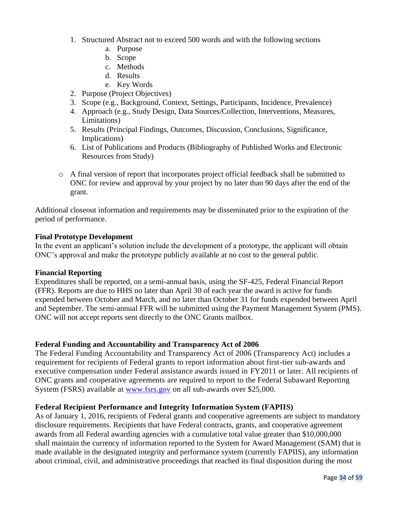- 1. Structured Abstract not to exceed 500 words and with the following sections
	- a. Purpose
	- b. Scope
	- c. Methods
	- d. Results
	- e. Key Words
- 2. Purpose (Project Objectives)
- 3. Scope (e.g., Background, Context, Settings, Participants, Incidence, Prevalence)
- 4. Approach (e.g., Study Design, Data Sources/Collection, Interventions, Measures, Limitations)
- 5. Results (Principal Findings, Outcomes, Discussion, Conclusions, Significance, Implications)
- 6. List of Publications and Products (Bibliography of Published Works and Electronic Resources from Study)
- o A final version of report that incorporates project official feedback shall be submitted to ONC for review and approval by your project by no later than 90 days after the end of the grant.

Additional closeout information and requirements may be disseminated prior to the expiration of the period of performance.

#### **Final Prototype Development**

In the event an applicant's solution include the development of a prototype, the applicant will obtain ONC's approval and make the prototype publicly available at no cost to the general public.

#### **Financial Reporting**

Expenditures shall be reported, on a semi-annual basis, using the SF-425, Federal Financial Report (FFR). Reports are due to HHS no later than April 30 of each year the award is active for funds expended between October and March, and no later than October 31 for funds expended between April and September. The semi-annual FFR will be submitted using the Payment Management System (PMS). ONC will not accept reports sent directly to the ONC Grants mailbox.

#### **Federal Funding and Accountability and Transparency Act of 2006**

The Federal Funding Accountability and Transparency Act of 2006 (Transparency Act) includes a requirement for recipients of Federal grants to report information about first-tier sub-awards and executive compensation under Federal assistance awards issued in FY2011 or later. All recipients of ONC grants and cooperative agreements are required to report to the Federal Subaward Reporting System (FSRS) available at [www.fsrs.gov](http://grants.nih.gov/grants/guide/url_redirect.htm?id=11170) on all sub-awards over \$25,000.

#### **Federal Recipient Performance and Integrity Information System (FAPIIS)**

As of January 1, 2016, recipients of Federal grants and cooperative agreements are subject to mandatory disclosure requirements. Recipients that have Federal contracts, grants, and cooperative agreement awards from all Federal awarding agencies with a cumulative total value greater than \$10,000,000 shall maintain the currency of information reported to the System for Award Management (SAM) that is made available in the designated integrity and performance system (currently FAPIIS), any information about criminal, civil, and administrative proceedings that reached its final disposition during the most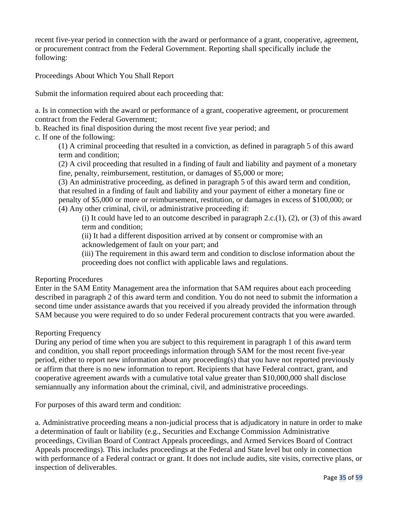recent five-year period in connection with the award or performance of a grant, cooperative, agreement, or procurement contract from the Federal Government. Reporting shall specifically include the following:

Proceedings About Which You Shall Report

Submit the information required about each proceeding that:

a. Is in connection with the award or performance of a grant, cooperative agreement, or procurement contract from the Federal Government;

b. Reached its final disposition during the most recent five year period; and

c. If one of the following:

(1) A criminal proceeding that resulted in a conviction, as defined in paragraph 5 of this award term and condition;

(2) A civil proceeding that resulted in a finding of fault and liability and payment of a monetary fine, penalty, reimbursement, restitution, or damages of \$5,000 or more;

(3) An administrative proceeding, as defined in paragraph 5 of this award term and condition, that resulted in a finding of fault and liability and your payment of either a monetary fine or penalty of \$5,000 or more or reimbursement, restitution, or damages in excess of \$100,000; or (4) Any other criminal, civil, or administrative proceeding if:

(i) It could have led to an outcome described in paragraph  $2.c.(1)$ ,  $(2)$ , or  $(3)$  of this award term and condition;

(ii) It had a different disposition arrived at by consent or compromise with an acknowledgement of fault on your part; and

(iii) The requirement in this award term and condition to disclose information about the proceeding does not conflict with applicable laws and regulations.

Reporting Procedures

Enter in the SAM Entity Management area the information that SAM requires about each proceeding described in paragraph 2 of this award term and condition. You do not need to submit the information a second time under assistance awards that you received if you already provided the information through SAM because you were required to do so under Federal procurement contracts that you were awarded.

Reporting Frequency

During any period of time when you are subject to this requirement in paragraph 1 of this award term and condition, you shall report proceedings information through SAM for the most recent five-year period, either to report new information about any proceeding(s) that you have not reported previously or affirm that there is no new information to report. Recipients that have Federal contract, grant, and cooperative agreement awards with a cumulative total value greater than \$10,000,000 shall disclose semiannually any information about the criminal, civil, and administrative proceedings.

For purposes of this award term and condition:

a. Administrative proceeding means a non-judicial process that is adjudicatory in nature in order to make a determination of fault or liability (e.g., Securities and Exchange Commission Administrative proceedings, Civilian Board of Contract Appeals proceedings, and Armed Services Board of Contract Appeals proceedings). This includes proceedings at the Federal and State level but only in connection with performance of a Federal contract or grant. It does not include audits, site visits, corrective plans, or inspection of deliverables.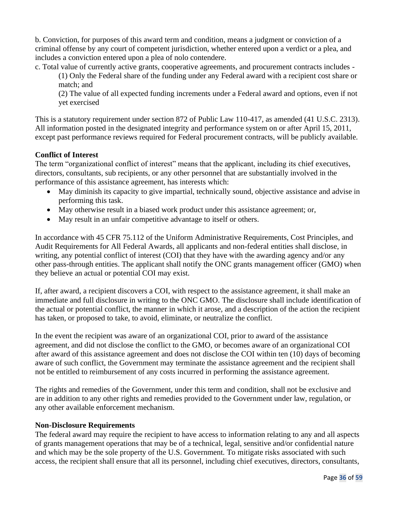b. Conviction, for purposes of this award term and condition, means a judgment or conviction of a criminal offense by any court of competent jurisdiction, whether entered upon a verdict or a plea, and includes a conviction entered upon a plea of nolo contendere.

c. Total value of currently active grants, cooperative agreements, and procurement contracts includes -

(1) Only the Federal share of the funding under any Federal award with a recipient cost share or match; and

(2) The value of all expected funding increments under a Federal award and options, even if not yet exercised

This is a statutory requirement under section 872 of Public Law 110-417, as amended (41 U.S.C. 2313). All information posted in the designated integrity and performance system on or after April 15, 2011, except past performance reviews required for Federal procurement contracts, will be publicly available.

### **Conflict of Interest**

The term "organizational conflict of interest" means that the applicant, including its chief executives, directors, consultants, sub recipients, or any other personnel that are substantially involved in the performance of this assistance agreement, has interests which:

- May diminish its capacity to give impartial, technically sound, objective assistance and advise in performing this task.
- May otherwise result in a biased work product under this assistance agreement; or,
- May result in an unfair competitive advantage to itself or others.

In accordance with 45 CFR 75.112 of the Uniform Administrative Requirements, Cost Principles, and Audit Requirements for All Federal Awards, all applicants and non-federal entities shall disclose, in writing, any potential conflict of interest (COI) that they have with the awarding agency and/or any other pass-through entities. The applicant shall notify the ONC grants management officer (GMO) when they believe an actual or potential COI may exist.

If, after award, a recipient discovers a COI, with respect to the assistance agreement, it shall make an immediate and full disclosure in writing to the ONC GMO. The disclosure shall include identification of the actual or potential conflict, the manner in which it arose, and a description of the action the recipient has taken, or proposed to take, to avoid, eliminate, or neutralize the conflict.

In the event the recipient was aware of an organizational COI, prior to award of the assistance agreement, and did not disclose the conflict to the GMO, or becomes aware of an organizational COI after award of this assistance agreement and does not disclose the COI within ten (10) days of becoming aware of such conflict, the Government may terminate the assistance agreement and the recipient shall not be entitled to reimbursement of any costs incurred in performing the assistance agreement.

The rights and remedies of the Government, under this term and condition, shall not be exclusive and are in addition to any other rights and remedies provided to the Government under law, regulation, or any other available enforcement mechanism.

#### **Non-Disclosure Requirements**

The federal award may require the recipient to have access to information relating to any and all aspects of grants management operations that may be of a technical, legal, sensitive and/or confidential nature and which may be the sole property of the U.S. Government. To mitigate risks associated with such access, the recipient shall ensure that all its personnel, including chief executives, directors, consultants,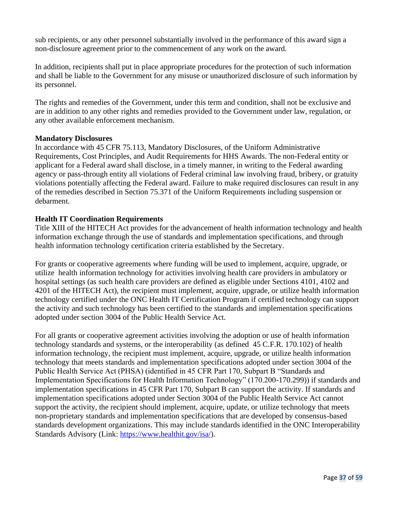sub recipients, or any other personnel substantially involved in the performance of this award sign a non-disclosure agreement prior to the commencement of any work on the award.

In addition, recipients shall put in place appropriate procedures for the protection of such information and shall be liable to the Government for any misuse or unauthorized disclosure of such information by its personnel.

The rights and remedies of the Government, under this term and condition, shall not be exclusive and are in addition to any other rights and remedies provided to the Government under law, regulation, or any other available enforcement mechanism.

### **Mandatory Disclosures**

In accordance with 45 CFR 75.113, Mandatory Disclosures, of the Uniform Administrative Requirements, Cost Principles, and Audit Requirements for HHS Awards. The non-Federal entity or applicant for a Federal award shall disclose, in a timely manner, in writing to the Federal awarding agency or pass-through entity all violations of Federal criminal law involving fraud, bribery, or gratuity violations potentially affecting the Federal award. Failure to make required disclosures can result in any of the remedies described in Section 75.371 of the Uniform Requirements including suspension or debarment.

## **Health IT Coordination Requirements**

Title XIII of the HITECH Act provides for the advancement of health information technology and health information exchange through the use of standards and implementation specifications, and through health information technology certification criteria established by the Secretary.

For grants or cooperative agreements where funding will be used to implement, acquire, upgrade, or utilize health information technology for activities involving health care providers in ambulatory or hospital settings (as such health care providers are defined as eligible under Sections 4101, 4102 and 4201 of the HITECH Act), the recipient must implement, acquire, upgrade, or utilize health information technology certified under the ONC Health IT Certification Program if certified technology can support the activity and such technology has been certified to the standards and implementation specifications adopted under section 3004 of the Public Health Service Act.

For all grants or cooperative agreement activities involving the adoption or use of health information technology standards and systems, or the interoperability (as defined 45 C.F.R. 170.102) of health information technology, the recipient must implement, acquire, upgrade, or utilize health information technology that meets standards and implementation specifications adopted under section 3004 of the Public Health Service Act (PHSA) (identified in 45 CFR Part 170, Subpart B "Standards and Implementation Specifications for Health Information Technology" (170.200-170.299)) if standards and implementation specifications in 45 CFR Part 170, Subpart B can support the activity. If standards and implementation specifications adopted under Section 3004 of the Public Health Service Act cannot support the activity, the recipient should implement, acquire, update, or utilize technology that meets non-proprietary standards and implementation specifications that are developed by consensus-based standards development organizations. This may include standards identified in the ONC Interoperability Standards Advisory (Link: [https://www.healthit.gov/isa/\)](https://www.healthit.gov/isa/).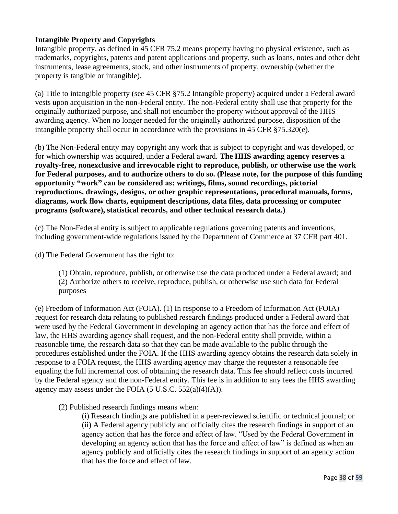## **Intangible Property and Copyrights**

Intangible property, as defined in 45 CFR 75.2 means property having no physical existence, such as trademarks, copyrights, patents and patent applications and property, such as loans, notes and other debt instruments, lease agreements, stock, and other instruments of property, ownership (whether the property is tangible or intangible).

(a) Title to intangible property (see 45 CFR §75.2 Intangible property) acquired under a Federal award vests upon acquisition in the non-Federal entity. The non-Federal entity shall use that property for the originally authorized purpose, and shall not encumber the property without approval of the HHS awarding agency. When no longer needed for the originally authorized purpose, disposition of the intangible property shall occur in accordance with the provisions in 45 CFR §75.320(e).

(b) The Non-Federal entity may copyright any work that is subject to copyright and was developed, or for which ownership was acquired, under a Federal award. **The HHS awarding agency reserves a royalty-free, nonexclusive and irrevocable right to reproduce, publish, or otherwise use the work for Federal purposes, and to authorize others to do so. (Please note, for the purpose of this funding opportunity "work" can be considered as: writings, films, sound recordings, pictorial reproductions, drawings, designs, or other graphic representations, procedural manuals, forms, diagrams, work flow charts, equipment descriptions, data files, data processing or computer programs (software), statistical records, and other technical research data.)**

(c) The Non-Federal entity is subject to applicable regulations governing patents and inventions, including government-wide regulations issued by the Department of Commerce at 37 CFR part 401.

(d) The Federal Government has the right to:

(1) Obtain, reproduce, publish, or otherwise use the data produced under a Federal award; and (2) Authorize others to receive, reproduce, publish, or otherwise use such data for Federal purposes

(e) Freedom of Information Act (FOIA). (1) In response to a Freedom of Information Act (FOIA) request for research data relating to published research findings produced under a Federal award that were used by the Federal Government in developing an agency action that has the force and effect of law, the HHS awarding agency shall request, and the non-Federal entity shall provide, within a reasonable time, the research data so that they can be made available to the public through the procedures established under the FOIA. If the HHS awarding agency obtains the research data solely in response to a FOIA request, the HHS awarding agency may charge the requester a reasonable fee equaling the full incremental cost of obtaining the research data. This fee should reflect costs incurred by the Federal agency and the non-Federal entity. This fee is in addition to any fees the HHS awarding agency may assess under the FOIA  $(5 \text{ U.S.C. } 552(a)(4)(A))$ .

(2) Published research findings means when:

(i) Research findings are published in a peer-reviewed scientific or technical journal; or (ii) A Federal agency publicly and officially cites the research findings in support of an agency action that has the force and effect of law. "Used by the Federal Government in developing an agency action that has the force and effect of law" is defined as when an agency publicly and officially cites the research findings in support of an agency action that has the force and effect of law.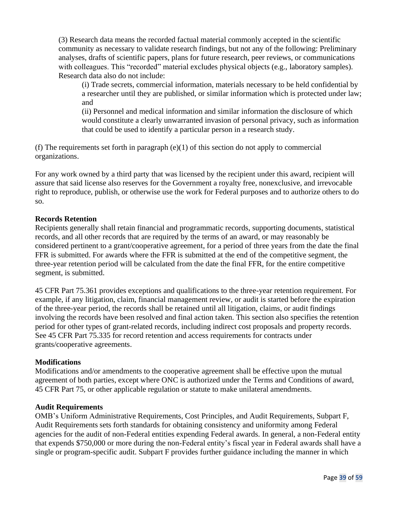(3) Research data means the recorded factual material commonly accepted in the scientific community as necessary to validate research findings, but not any of the following: Preliminary analyses, drafts of scientific papers, plans for future research, peer reviews, or communications with colleagues. This "recorded" material excludes physical objects (e.g., laboratory samples). Research data also do not include:

(i) Trade secrets, commercial information, materials necessary to be held confidential by a researcher until they are published, or similar information which is protected under law; and

(ii) Personnel and medical information and similar information the disclosure of which would constitute a clearly unwarranted invasion of personal privacy, such as information that could be used to identify a particular person in a research study.

(f) The requirements set forth in paragraph  $(e)(1)$  of this section do not apply to commercial organizations.

For any work owned by a third party that was licensed by the recipient under this award, recipient will assure that said license also reserves for the Government a royalty free, nonexclusive, and irrevocable right to reproduce, publish, or otherwise use the work for Federal purposes and to authorize others to do so.

### **Records Retention**

Recipients generally shall retain financial and programmatic records, supporting documents, statistical records, and all other records that are required by the terms of an award, or may reasonably be considered pertinent to a grant/cooperative agreement, for a period of three years from the date the final FFR is submitted. For awards where the FFR is submitted at the end of the competitive segment, the three-year retention period will be calculated from the date the final FFR, for the entire competitive segment, is submitted.

45 CFR Part 75.361 provides exceptions and qualifications to the three-year retention requirement. For example, if any litigation, claim, financial management review, or audit is started before the expiration of the three-year period, the records shall be retained until all litigation, claims, or audit findings involving the records have been resolved and final action taken. This section also specifies the retention period for other types of grant-related records, including indirect cost proposals and property records. See 45 CFR Part 75.335 for record retention and access requirements for contracts under grants/cooperative agreements.

#### **Modifications**

Modifications and/or amendments to the cooperative agreement shall be effective upon the mutual agreement of both parties, except where ONC is authorized under the Terms and Conditions of award, 45 CFR Part 75, or other applicable regulation or statute to make unilateral amendments.

#### **Audit Requirements**

OMB's Uniform Administrative Requirements, Cost Principles, and Audit Requirements, Subpart F, Audit Requirements sets forth standards for obtaining consistency and uniformity among Federal agencies for the audit of non-Federal entities expending Federal awards. In general, a non-Federal entity that expends \$750,000 or more during the non-Federal entity's fiscal year in Federal awards shall have a single or program-specific audit. Subpart F provides further guidance including the manner in which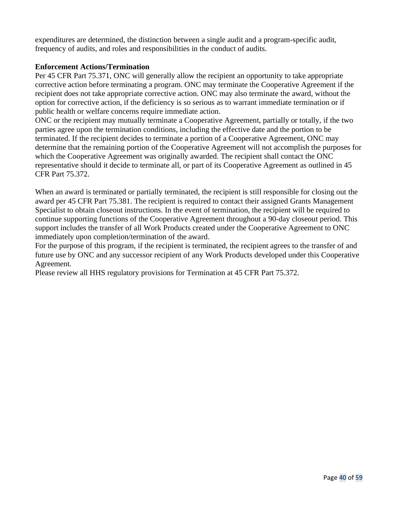expenditures are determined, the distinction between a single audit and a program-specific audit, frequency of audits, and roles and responsibilities in the conduct of audits.

#### **Enforcement Actions/Termination**

Per 45 CFR Part 75.371, ONC will generally allow the recipient an opportunity to take appropriate corrective action before terminating a program. ONC may terminate the Cooperative Agreement if the recipient does not take appropriate corrective action. ONC may also terminate the award, without the option for corrective action, if the deficiency is so serious as to warrant immediate termination or if public health or welfare concerns require immediate action.

ONC or the recipient may mutually terminate a Cooperative Agreement, partially or totally, if the two parties agree upon the termination conditions, including the effective date and the portion to be terminated. If the recipient decides to terminate a portion of a Cooperative Agreement, ONC may determine that the remaining portion of the Cooperative Agreement will not accomplish the purposes for which the Cooperative Agreement was originally awarded. The recipient shall contact the ONC representative should it decide to terminate all, or part of its Cooperative Agreement as outlined in 45 CFR Part 75.372.

When an award is terminated or partially terminated, the recipient is still responsible for closing out the award per 45 CFR Part 75.381. The recipient is required to contact their assigned Grants Management Specialist to obtain closeout instructions. In the event of termination, the recipient will be required to continue supporting functions of the Cooperative Agreement throughout a 90-day closeout period. This support includes the transfer of all Work Products created under the Cooperative Agreement to ONC immediately upon completion/termination of the award.

For the purpose of this program, if the recipient is terminated, the recipient agrees to the transfer of and future use by ONC and any successor recipient of any Work Products developed under this Cooperative Agreement.

Please review all HHS regulatory provisions for Termination at 45 CFR Part 75.372.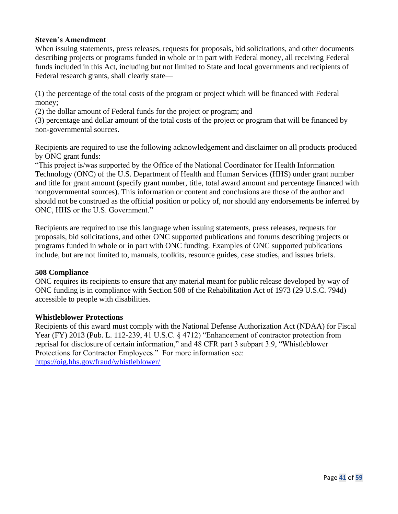#### **Steven's Amendment**

When issuing statements, press releases, requests for proposals, bid solicitations, and other documents describing projects or programs funded in whole or in part with Federal money, all receiving Federal funds included in this Act, including but not limited to State and local governments and recipients of Federal research grants, shall clearly state—

(1) the percentage of the total costs of the program or project which will be financed with Federal money;

(2) the dollar amount of Federal funds for the project or program; and

(3) percentage and dollar amount of the total costs of the project or program that will be financed by non-governmental sources.

Recipients are required to use the following acknowledgement and disclaimer on all products produced by ONC grant funds:

"This project is/was supported by the Office of the National Coordinator for Health Information Technology (ONC) of the U.S. Department of Health and Human Services (HHS) under grant number and title for grant amount (specify grant number, title, total award amount and percentage financed with nongovernmental sources). This information or content and conclusions are those of the author and should not be construed as the official position or policy of, nor should any endorsements be inferred by ONC, HHS or the U.S. Government."

Recipients are required to use this language when issuing statements, press releases, requests for proposals, bid solicitations, and other ONC supported publications and forums describing projects or programs funded in whole or in part with ONC funding. Examples of ONC supported publications include, but are not limited to, manuals, toolkits, resource guides, case studies, and issues briefs.

#### **508 Compliance**

ONC requires its recipients to ensure that any material meant for public release developed by way of ONC funding is in compliance with Section 508 of the Rehabilitation Act of 1973 (29 U.S.C. 794d) accessible to people with disabilities.

#### **Whistleblower Protections**

Recipients of this award must comply with the National Defense Authorization Act (NDAA) for Fiscal Year (FY) 2013 (Pub. L. 112-239, 41 U.S.C. § 4712) "Enhancement of contractor protection from reprisal for disclosure of certain information," and 48 CFR part 3 subpart 3.9, "Whistleblower Protections for Contractor Employees." For more information see: <https://oig.hhs.gov/fraud/whistleblower/>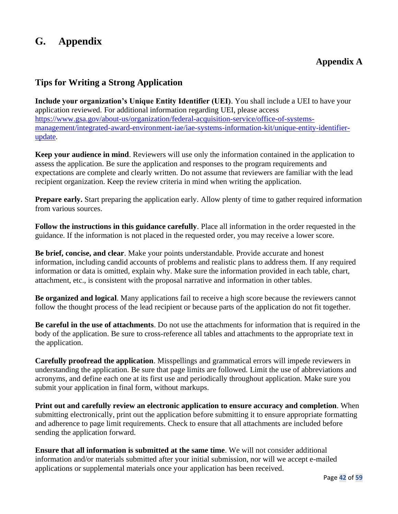# **G. Appendix**

# **Appendix A**

## **Tips for Writing a Strong Application**

**Include your organization's Unique Entity Identifier (UEI)**. You shall include a UEI to have your application reviewed. For additional information regarding UEI, please access [https://www.gsa.gov/about-us/organization/federal-acquisition-service/office-of-systems](https://www.gsa.gov/about-us/organization/federal-acquisition-service/office-of-systems-management/integrated-award-environment-iae/iae-systems-information-kit/unique-entity-identifier-update)[management/integrated-award-environment-iae/iae-systems-information-kit/unique-entity-identifier](https://www.gsa.gov/about-us/organization/federal-acquisition-service/office-of-systems-management/integrated-award-environment-iae/iae-systems-information-kit/unique-entity-identifier-update)[update.](https://www.gsa.gov/about-us/organization/federal-acquisition-service/office-of-systems-management/integrated-award-environment-iae/iae-systems-information-kit/unique-entity-identifier-update)

**Keep your audience in mind**. Reviewers will use only the information contained in the application to assess the application. Be sure the application and responses to the program requirements and expectations are complete and clearly written. Do not assume that reviewers are familiar with the lead recipient organization. Keep the review criteria in mind when writing the application.

**Prepare early.** Start preparing the application early. Allow plenty of time to gather required information from various sources.

**Follow the instructions in this guidance carefully**. Place all information in the order requested in the guidance. If the information is not placed in the requested order, you may receive a lower score.

**Be brief, concise, and clear**. Make your points understandable. Provide accurate and honest information, including candid accounts of problems and realistic plans to address them. If any required information or data is omitted, explain why. Make sure the information provided in each table, chart, attachment, etc., is consistent with the proposal narrative and information in other tables.

**Be organized and logical**. Many applications fail to receive a high score because the reviewers cannot follow the thought process of the lead recipient or because parts of the application do not fit together.

**Be careful in the use of attachments**. Do not use the attachments for information that is required in the body of the application. Be sure to cross-reference all tables and attachments to the appropriate text in the application.

**Carefully proofread the application**. Misspellings and grammatical errors will impede reviewers in understanding the application. Be sure that page limits are followed. Limit the use of abbreviations and acronyms, and define each one at its first use and periodically throughout application. Make sure you submit your application in final form, without markups.

**Print out and carefully review an electronic application to ensure accuracy and completion**. When submitting electronically, print out the application before submitting it to ensure appropriate formatting and adherence to page limit requirements. Check to ensure that all attachments are included before sending the application forward.

**Ensure that all information is submitted at the same time**. We will not consider additional information and/or materials submitted after your initial submission, nor will we accept e-mailed applications or supplemental materials once your application has been received.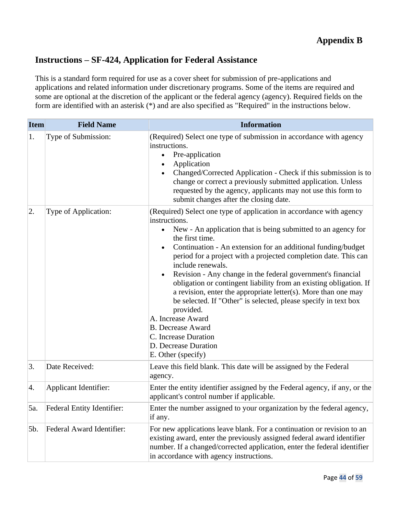# **Instructions – SF-424, Application for Federal Assistance**

This is a standard form required for use as a cover sheet for submission of pre-applications and applications and related information under discretionary programs. Some of the items are required and some are optional at the discretion of the applicant or the federal agency (agency). Required fields on the form are identified with an asterisk (\*) and are also specified as "Required" in the instructions below.

| <b>Item</b> | <b>Field Name</b>            | <b>Information</b>                                                                                                                                                                                                                                                                                                                                                                                                                                                                                                                                                                                                                                                                                                                                                       |  |
|-------------|------------------------------|--------------------------------------------------------------------------------------------------------------------------------------------------------------------------------------------------------------------------------------------------------------------------------------------------------------------------------------------------------------------------------------------------------------------------------------------------------------------------------------------------------------------------------------------------------------------------------------------------------------------------------------------------------------------------------------------------------------------------------------------------------------------------|--|
| 1.          | Type of Submission:          | (Required) Select one type of submission in accordance with agency<br>instructions.<br>Pre-application<br>$\bullet$<br>Application<br>$\bullet$<br>Changed/Corrected Application - Check if this submission is to<br>change or correct a previously submitted application. Unless<br>requested by the agency, applicants may not use this form to<br>submit changes after the closing date.                                                                                                                                                                                                                                                                                                                                                                              |  |
| 2.          | Type of Application:         | (Required) Select one type of application in accordance with agency<br>instructions.<br>New - An application that is being submitted to an agency for<br>$\bullet$<br>the first time.<br>Continuation - An extension for an additional funding/budget<br>period for a project with a projected completion date. This can<br>include renewals.<br>Revision - Any change in the federal government's financial<br>$\bullet$<br>obligation or contingent liability from an existing obligation. If<br>a revision, enter the appropriate letter(s). More than one may<br>be selected. If "Other" is selected, please specify in text box<br>provided.<br>A. Increase Award<br><b>B.</b> Decrease Award<br>C. Increase Duration<br>D. Decrease Duration<br>E. Other (specify) |  |
| 3.          | Date Received:               | Leave this field blank. This date will be assigned by the Federal<br>agency.                                                                                                                                                                                                                                                                                                                                                                                                                                                                                                                                                                                                                                                                                             |  |
| 4.          | <b>Applicant Identifier:</b> | Enter the entity identifier assigned by the Federal agency, if any, or the<br>applicant's control number if applicable.                                                                                                                                                                                                                                                                                                                                                                                                                                                                                                                                                                                                                                                  |  |
| 5a.         | Federal Entity Identifier:   | Enter the number assigned to your organization by the federal agency.<br>if any.                                                                                                                                                                                                                                                                                                                                                                                                                                                                                                                                                                                                                                                                                         |  |
| 5b.         | Federal Award Identifier:    | For new applications leave blank. For a continuation or revision to an<br>existing award, enter the previously assigned federal award identifier<br>number. If a changed/corrected application, enter the federal identifier<br>in accordance with agency instructions.                                                                                                                                                                                                                                                                                                                                                                                                                                                                                                  |  |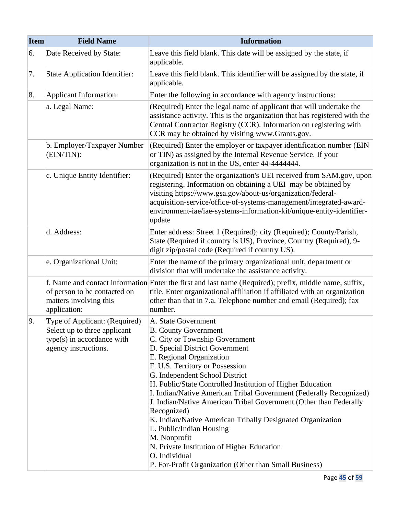| <b>Item</b> | <b>Field Name</b>                                                                                                   | <b>Information</b>                                                                                                                                                                                                                                                                                                                                                                                                                                                                                                                                                                                                                                                                 |  |
|-------------|---------------------------------------------------------------------------------------------------------------------|------------------------------------------------------------------------------------------------------------------------------------------------------------------------------------------------------------------------------------------------------------------------------------------------------------------------------------------------------------------------------------------------------------------------------------------------------------------------------------------------------------------------------------------------------------------------------------------------------------------------------------------------------------------------------------|--|
| 6.          | Date Received by State:                                                                                             | Leave this field blank. This date will be assigned by the state, if<br>applicable.                                                                                                                                                                                                                                                                                                                                                                                                                                                                                                                                                                                                 |  |
| 7.          | <b>State Application Identifier:</b>                                                                                | Leave this field blank. This identifier will be assigned by the state, if<br>applicable.                                                                                                                                                                                                                                                                                                                                                                                                                                                                                                                                                                                           |  |
| 8.          | <b>Applicant Information:</b>                                                                                       | Enter the following in accordance with agency instructions:                                                                                                                                                                                                                                                                                                                                                                                                                                                                                                                                                                                                                        |  |
|             | a. Legal Name:                                                                                                      | (Required) Enter the legal name of applicant that will undertake the<br>assistance activity. This is the organization that has registered with the<br>Central Contractor Registry (CCR). Information on registering with<br>CCR may be obtained by visiting www.Grants.gov.                                                                                                                                                                                                                                                                                                                                                                                                        |  |
|             | b. Employer/Taxpayer Number<br>(EIN/TIN):                                                                           | (Required) Enter the employer or taxpayer identification number (EIN<br>or TIN) as assigned by the Internal Revenue Service. If your<br>organization is not in the US, enter 44-4444444.                                                                                                                                                                                                                                                                                                                                                                                                                                                                                           |  |
|             | c. Unique Entity Identifier:                                                                                        | (Required) Enter the organization's UEI received from SAM.gov, upon<br>registering. Information on obtaining a UEI may be obtained by<br>visiting https://www.gsa.gov/about-us/organization/federal-<br>acquisition-service/office-of-systems-management/integrated-award-<br>environment-iae/iae-systems-information-kit/unique-entity-identifier-<br>update                                                                                                                                                                                                                                                                                                                      |  |
|             | d. Address:                                                                                                         | Enter address: Street 1 (Required); city (Required); County/Parish,<br>State (Required if country is US), Province, Country (Required), 9-<br>digit zip/postal code (Required if country US).                                                                                                                                                                                                                                                                                                                                                                                                                                                                                      |  |
|             | e. Organizational Unit:                                                                                             | Enter the name of the primary organizational unit, department or<br>division that will undertake the assistance activity.                                                                                                                                                                                                                                                                                                                                                                                                                                                                                                                                                          |  |
|             | of person to be contacted on<br>matters involving this<br>application:                                              | f. Name and contact information Enter the first and last name (Required); prefix, middle name, suffix,<br>title. Enter organizational affiliation if affiliated with an organization<br>other than that in 7.a. Telephone number and email (Required); fax<br>number.                                                                                                                                                                                                                                                                                                                                                                                                              |  |
| 9.          | Type of Applicant: (Required)<br>Select up to three applicant<br>type(s) in accordance with<br>agency instructions. | A. State Government<br><b>B. County Government</b><br>C. City or Township Government<br>D. Special District Government<br>E. Regional Organization<br>F. U.S. Territory or Possession<br>G. Independent School District<br>H. Public/State Controlled Institution of Higher Education<br>I. Indian/Native American Tribal Government (Federally Recognized)<br>J. Indian/Native American Tribal Government (Other than Federally<br>Recognized)<br>K. Indian/Native American Tribally Designated Organization<br>L. Public/Indian Housing<br>M. Nonprofit<br>N. Private Institution of Higher Education<br>O. Individual<br>P. For-Profit Organization (Other than Small Business) |  |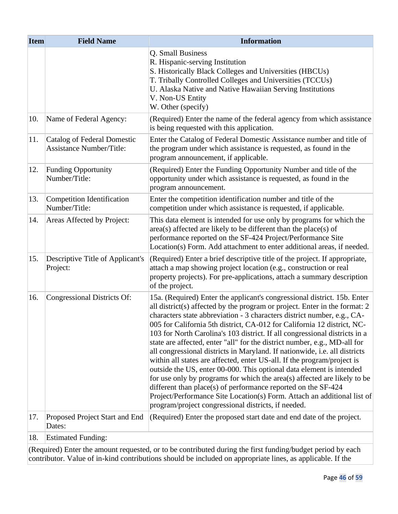| <b>Item</b> | <b>Field Name</b>                                                     | <b>Information</b>                                                                                                                                                                                                                                                                                                                                                                                                                                                                                                                                                                                                                                                                                                                                                                                                                                                                                                                                                                             |  |
|-------------|-----------------------------------------------------------------------|------------------------------------------------------------------------------------------------------------------------------------------------------------------------------------------------------------------------------------------------------------------------------------------------------------------------------------------------------------------------------------------------------------------------------------------------------------------------------------------------------------------------------------------------------------------------------------------------------------------------------------------------------------------------------------------------------------------------------------------------------------------------------------------------------------------------------------------------------------------------------------------------------------------------------------------------------------------------------------------------|--|
|             |                                                                       | Q. Small Business<br>R. Hispanic-serving Institution<br>S. Historically Black Colleges and Universities (HBCUs)<br>T. Tribally Controlled Colleges and Universities (TCCUs)<br>U. Alaska Native and Native Hawaiian Serving Institutions<br>V. Non-US Entity<br>W. Other (specify)                                                                                                                                                                                                                                                                                                                                                                                                                                                                                                                                                                                                                                                                                                             |  |
| 10.         | Name of Federal Agency:                                               | (Required) Enter the name of the federal agency from which assistance<br>is being requested with this application.                                                                                                                                                                                                                                                                                                                                                                                                                                                                                                                                                                                                                                                                                                                                                                                                                                                                             |  |
| 11.         | <b>Catalog of Federal Domestic</b><br><b>Assistance Number/Title:</b> | Enter the Catalog of Federal Domestic Assistance number and title of<br>the program under which assistance is requested, as found in the<br>program announcement, if applicable.                                                                                                                                                                                                                                                                                                                                                                                                                                                                                                                                                                                                                                                                                                                                                                                                               |  |
| 12.         | <b>Funding Opportunity</b><br>Number/Title:                           | (Required) Enter the Funding Opportunity Number and title of the<br>opportunity under which assistance is requested, as found in the<br>program announcement.                                                                                                                                                                                                                                                                                                                                                                                                                                                                                                                                                                                                                                                                                                                                                                                                                                  |  |
| 13.         | <b>Competition Identification</b><br>Number/Title:                    | Enter the competition identification number and title of the<br>competition under which assistance is requested, if applicable.                                                                                                                                                                                                                                                                                                                                                                                                                                                                                                                                                                                                                                                                                                                                                                                                                                                                |  |
| 14.         | Areas Affected by Project:                                            | This data element is intended for use only by programs for which the<br>$area(s)$ affected are likely to be different than the place $(s)$ of<br>performance reported on the SF-424 Project/Performance Site<br>Location(s) Form. Add attachment to enter additional areas, if needed.                                                                                                                                                                                                                                                                                                                                                                                                                                                                                                                                                                                                                                                                                                         |  |
| 15.         | Descriptive Title of Applicant's<br>Project:                          | (Required) Enter a brief descriptive title of the project. If appropriate,<br>attach a map showing project location (e.g., construction or real<br>property projects). For pre-applications, attach a summary description<br>of the project.                                                                                                                                                                                                                                                                                                                                                                                                                                                                                                                                                                                                                                                                                                                                                   |  |
| 16.         | Congressional Districts Of:                                           | 15a. (Required) Enter the applicant's congressional district. 15b. Enter<br>all district(s) affected by the program or project. Enter in the format: 2<br>characters state abbreviation - 3 characters district number, e.g., CA-<br>005 for California 5th district, CA-012 for California 12 district, NC-<br>103 for North Carolina's 103 district. If all congressional districts in a<br>state are affected, enter "all" for the district number, e.g., MD-all for<br>all congressional districts in Maryland. If nationwide, <i>i.e.</i> all districts<br>within all states are affected, enter US-all. If the program/project is<br>outside the US, enter 00-000. This optional data element is intended<br>for use only by programs for which the area(s) affected are likely to be<br>different than place(s) of performance reported on the SF-424<br>Project/Performance Site Location(s) Form. Attach an additional list of<br>program/project congressional districts, if needed. |  |
| 17.         | Proposed Project Start and End<br>Dates:                              | (Required) Enter the proposed start date and end date of the project.                                                                                                                                                                                                                                                                                                                                                                                                                                                                                                                                                                                                                                                                                                                                                                                                                                                                                                                          |  |
| 18.         | <b>Estimated Funding:</b>                                             |                                                                                                                                                                                                                                                                                                                                                                                                                                                                                                                                                                                                                                                                                                                                                                                                                                                                                                                                                                                                |  |
|             |                                                                       | $($ Required) Enter the amount requested or to be contributed during the first funding budget period by each                                                                                                                                                                                                                                                                                                                                                                                                                                                                                                                                                                                                                                                                                                                                                                                                                                                                                   |  |

(Required) Enter the amount requested, or to be contributed during the first funding/budget period by each contributor. Value of in-kind contributions should be included on appropriate lines, as applicable. If the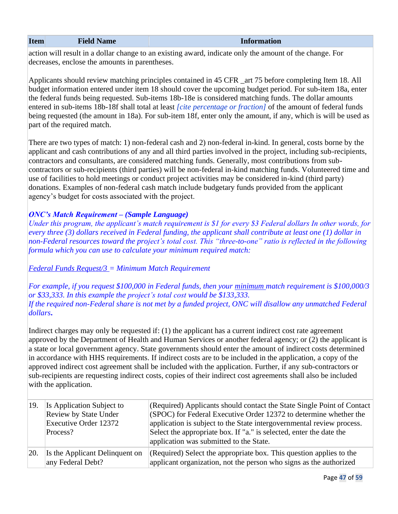#### **Information**

action will result in a dollar change to an existing award, indicate only the amount of the change. For decreases, enclose the amounts in parentheses.

Applicants should review matching principles contained in 45 CFR \_art 75 before completing Item 18. All budget information entered under item 18 should cover the upcoming budget period. For sub-item 18a, enter the federal funds being requested. Sub-items 18b-18e is considered matching funds. The dollar amounts entered in sub-items 18b-18f shall total at least *[cite percentage or fraction]* of the amount of federal funds being requested (the amount in 18a). For sub-item 18f, enter only the amount, if any, which is will be used as part of the required match.

There are two types of match: 1) non-federal cash and 2) non-federal in-kind. In general, costs borne by the applicant and cash contributions of any and all third parties involved in the project, including sub-recipients, contractors and consultants, are considered matching funds. Generally, most contributions from subcontractors or sub-recipients (third parties) will be non-federal in-kind matching funds. Volunteered time and use of facilities to hold meetings or conduct project activities may be considered in-kind (third party) donations. Examples of non-federal cash match include budgetary funds provided from the applicant agency's budget for costs associated with the project.

## *ONC's Match Requirement – (Sample Language)*

*Under this program, the applicant's match requirement is \$1 for every \$3 Federal dollars In other words, for every three (3) dollars received in Federal funding, the applicant shall contribute at least one (1) dollar in non-Federal resources toward the project's total cost. This "three-to-one" ratio is reflected in the following formula which you can use to calculate your minimum required match:* 

*Federal Funds Request/3 = Minimum Match Requirement*

*For example, if you request \$100,000 in Federal funds, then your minimum match requirement is \$100,000/3 or \$33,333. In this example the project's total cost would be \$133,333. If the required non-Federal share is not met by a funded project, ONC will disallow any unmatched Federal dollars***.**

Indirect charges may only be requested if: (1) the applicant has a current indirect cost rate agreement approved by the Department of Health and Human Services or another federal agency; or (2) the applicant is a state or local government agency. State governments should enter the amount of indirect costs determined in accordance with HHS requirements. If indirect costs are to be included in the application, a copy of the approved indirect cost agreement shall be included with the application. Further, if any sub-contractors or sub-recipients are requesting indirect costs, copies of their indirect cost agreements shall also be included with the application.

| 19. | Is Application Subject to<br><b>Review by State Under</b><br>Executive Order 12372<br>Process? | (Required) Applicants should contact the State Single Point of Contact<br>$ $ (SPOC) for Federal Executive Order 12372 to determine whether the<br>application is subject to the State intergovernmental review process.<br>Select the appropriate box. If "a." is selected, enter the date the<br>application was submitted to the State. |
|-----|------------------------------------------------------------------------------------------------|--------------------------------------------------------------------------------------------------------------------------------------------------------------------------------------------------------------------------------------------------------------------------------------------------------------------------------------------|
| 20. | Is the Applicant Delinquent on<br>any Federal Debt?                                            | (Required) Select the appropriate box. This question applies to the<br>applicant organization, not the person who signs as the authorized                                                                                                                                                                                                  |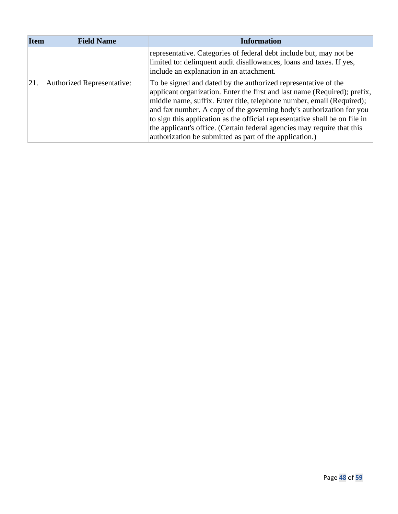| <b>Item</b> | <b>Field Name</b>                 | <b>Information</b>                                                                                                                                                                                                                                                                                                                                                                                                                                                                                                |  |
|-------------|-----------------------------------|-------------------------------------------------------------------------------------------------------------------------------------------------------------------------------------------------------------------------------------------------------------------------------------------------------------------------------------------------------------------------------------------------------------------------------------------------------------------------------------------------------------------|--|
|             |                                   | representative. Categories of federal debt include but, may not be<br>limited to: delinquent audit disallowances, loans and taxes. If yes,<br>include an explanation in an attachment.                                                                                                                                                                                                                                                                                                                            |  |
| 21.         | <b>Authorized Representative:</b> | To be signed and dated by the authorized representative of the<br>applicant organization. Enter the first and last name (Required); prefix,<br>middle name, suffix. Enter title, telephone number, email (Required);<br>and fax number. A copy of the governing body's authorization for you<br>to sign this application as the official representative shall be on file in<br>the applicant's office. (Certain federal agencies may require that this<br>authorization be submitted as part of the application.) |  |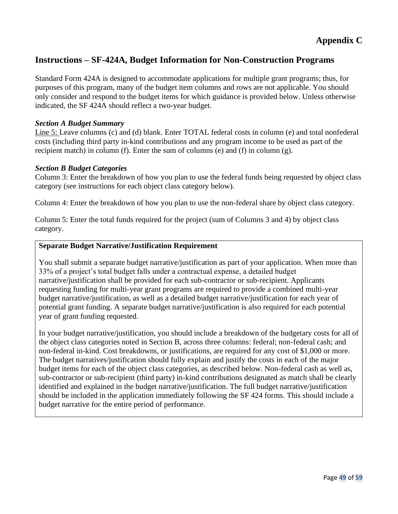# **Appendix C**

# **Instructions – SF-424A, Budget Information for Non-Construction Programs**

Standard Form 424A is designed to accommodate applications for multiple grant programs; thus, for purposes of this program, many of the budget item columns and rows are not applicable. You should only consider and respond to the budget items for which guidance is provided below. Unless otherwise indicated, the SF 424A should reflect a two-year budget.

#### *Section A Budget Summary*

Line 5: Leave columns (c) and (d) blank. Enter TOTAL federal costs in column (e) and total nonfederal costs (including third party in-kind contributions and any program income to be used as part of the recipient match) in column (f). Enter the sum of columns (e) and (f) in column  $(g)$ .

#### *Section B Budget Categories*

Column 3: Enter the breakdown of how you plan to use the federal funds being requested by object class category (see instructions for each object class category below).

Column 4: Enter the breakdown of how you plan to use the non-federal share by object class category.

Column 5: Enter the total funds required for the project (sum of Columns 3 and 4) by object class category.

#### **Separate Budget Narrative/Justification Requirement**

You shall submit a separate budget narrative/justification as part of your application. When more than 33% of a project's total budget falls under a contractual expense, a detailed budget narrative/justification shall be provided for each sub-contractor or sub-recipient. Applicants requesting funding for multi-year grant programs are required to provide a combined multi-year budget narrative/justification, as well as a detailed budget narrative/justification for each year of potential grant funding. A separate budget narrative/justification is also required for each potential year of grant funding requested.

In your budget narrative/justification, you should include a breakdown of the budgetary costs for all of the object class categories noted in Section B, across three columns: federal; non-federal cash; and non-federal in-kind. Cost breakdowns, or justifications, are required for any cost of \$1,000 or more. The budget narratives/justification should fully explain and justify the costs in each of the major budget items for each of the object class categories, as described below. Non-federal cash as well as, sub-contractor or sub-recipient (third party) in-kind contributions designated as match shall be clearly identified and explained in the budget narrative/justification. The full budget narrative/justification should be included in the application immediately following the SF 424 forms. This should include a budget narrative for the entire period of performance.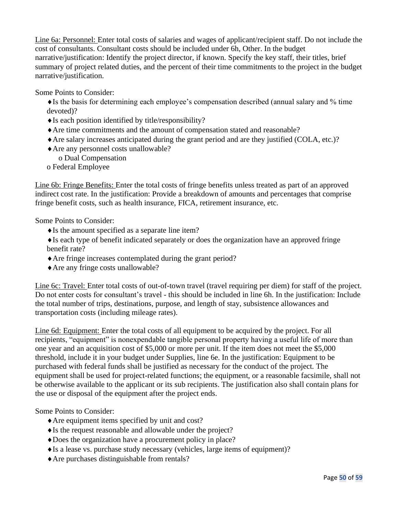Line 6a: Personnel: Enter total costs of salaries and wages of applicant/recipient staff. Do not include the cost of consultants. Consultant costs should be included under 6h, Other. In the budget narrative/justification: Identify the project director, if known. Specify the key staff, their titles, brief summary of project related duties, and the percent of their time commitments to the project in the budget narrative/justification.

Some Points to Consider:

 $\triangle$  Is the basis for determining each employee's compensation described (annual salary and % time devoted)?

- $\blacklozenge$  Is each position identified by title/responsibility?
- Are time commitments and the amount of compensation stated and reasonable?
- Are salary increases anticipated during the grant period and are they justified (COLA, etc.)?
- Are any personnel costs unallowable? o Dual Compensation
- 
- o Federal Employee

Line 6b: Fringe Benefits: Enter the total costs of fringe benefits unless treated as part of an approved indirect cost rate. In the justification: Provide a breakdown of amounts and percentages that comprise fringe benefit costs, such as health insurance, FICA, retirement insurance, etc.

Some Points to Consider:

 $\blacklozenge$  Is the amount specified as a separate line item?

 $\blacklozenge$  Is each type of benefit indicated separately or does the organization have an approved fringe benefit rate?

- Are fringe increases contemplated during the grant period?
- Are any fringe costs unallowable?

Line 6c: Travel: Enter total costs of out-of-town travel (travel requiring per diem) for staff of the project. Do not enter costs for consultant's travel - this should be included in line 6h. In the justification: Include the total number of trips, destinations, purpose, and length of stay, subsistence allowances and transportation costs (including mileage rates).

Line 6d: Equipment: Enter the total costs of all equipment to be acquired by the project. For all recipients, "equipment" is nonexpendable tangible personal property having a useful life of more than one year and an acquisition cost of \$5,000 or more per unit. If the item does not meet the \$5,000 threshold, include it in your budget under Supplies, line 6e. In the justification: Equipment to be purchased with federal funds shall be justified as necessary for the conduct of the project. The equipment shall be used for project-related functions; the equipment, or a reasonable facsimile, shall not be otherwise available to the applicant or its sub recipients. The justification also shall contain plans for the use or disposal of the equipment after the project ends.

Some Points to Consider:

- Are equipment items specified by unit and cost?
- Is the request reasonable and allowable under the project?
- Does the organization have a procurement policy in place?
- $\blacklozenge$  Is a lease vs. purchase study necessary (vehicles, large items of equipment)?
- Are purchases distinguishable from rentals?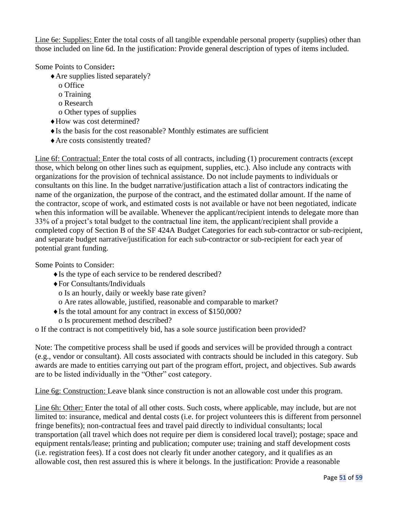Line 6e: Supplies: Enter the total costs of all tangible expendable personal property (supplies) other than those included on line 6d. In the justification: Provide general description of types of items included.

Some Points to Consider**:**

- Are supplies listed separately?
	- o Office
	- o Training
	- o Research
	- o Other types of supplies
- How was cost determined?
- $\blacklozenge$  Is the basis for the cost reasonable? Monthly estimates are sufficient
- Are costs consistently treated?

Line 6f: Contractual: Enter the total costs of all contracts, including (1) procurement contracts (except those, which belong on other lines such as equipment, supplies, etc.). Also include any contracts with organizations for the provision of technical assistance. Do not include payments to individuals or consultants on this line. In the budget narrative/justification attach a list of contractors indicating the name of the organization, the purpose of the contract, and the estimated dollar amount. If the name of the contractor, scope of work, and estimated costs is not available or have not been negotiated, indicate when this information will be available. Whenever the applicant/recipient intends to delegate more than 33% of a project's total budget to the contractual line item, the applicant/recipient shall provide a completed copy of Section B of the SF 424A Budget Categories for each sub-contractor or sub-recipient, and separate budget narrative/justification for each sub-contractor or sub-recipient for each year of potential grant funding.

Some Points to Consider:

- $\triangle$  Is the type of each service to be rendered described?
- For Consultants/Individuals
- o Is an hourly, daily or weekly base rate given?
- o Are rates allowable, justified, reasonable and comparable to market?
- $\triangleleft$  Is the total amount for any contract in excess of \$150,000?
	- o Is procurement method described?

o If the contract is not competitively bid, has a sole source justification been provided?

Note: The competitive process shall be used if goods and services will be provided through a contract (e.g., vendor or consultant). All costs associated with contracts should be included in this category. Sub awards are made to entities carrying out part of the program effort, project, and objectives. Sub awards are to be listed individually in the "Other" cost category.

Line 6g: Construction: Leave blank since construction is not an allowable cost under this program.

Line 6h: Other: Enter the total of all other costs. Such costs, where applicable, may include, but are not limited to: insurance, medical and dental costs (i.e. for project volunteers this is different from personnel fringe benefits); non-contractual fees and travel paid directly to individual consultants; local transportation (all travel which does not require per diem is considered local travel); postage; space and equipment rentals/lease; printing and publication; computer use; training and staff development costs (i.e. registration fees). If a cost does not clearly fit under another category, and it qualifies as an allowable cost, then rest assured this is where it belongs. In the justification: Provide a reasonable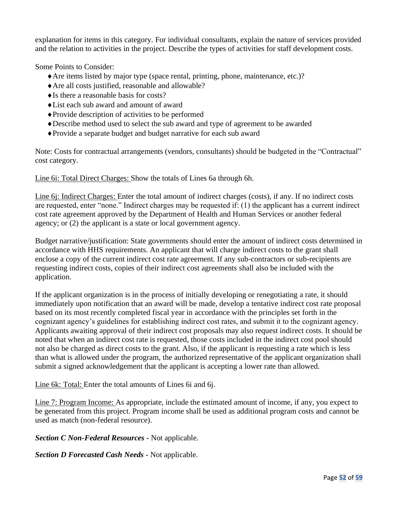explanation for items in this category. For individual consultants, explain the nature of services provided and the relation to activities in the project. Describe the types of activities for staff development costs.

Some Points to Consider:

- Are items listed by major type (space rental, printing, phone, maintenance, etc.)?
- Are all costs justified, reasonable and allowable?
- $\triangle$  Is there a reasonable basis for costs?
- List each sub award and amount of award
- Provide description of activities to be performed
- Describe method used to select the sub award and type of agreement to be awarded
- Provide a separate budget and budget narrative for each sub award

Note: Costs for contractual arrangements (vendors, consultants) should be budgeted in the "Contractual" cost category.

Line 6i: Total Direct Charges: Show the totals of Lines 6a through 6h.

Line 6j: Indirect Charges: Enter the total amount of indirect charges (costs), if any. If no indirect costs are requested, enter "none." Indirect charges may be requested if: (1) the applicant has a current indirect cost rate agreement approved by the Department of Health and Human Services or another federal agency; or (2) the applicant is a state or local government agency.

Budget narrative/justification: State governments should enter the amount of indirect costs determined in accordance with HHS requirements. An applicant that will charge indirect costs to the grant shall enclose a copy of the current indirect cost rate agreement. If any sub-contractors or sub-recipients are requesting indirect costs, copies of their indirect cost agreements shall also be included with the application.

If the applicant organization is in the process of initially developing or renegotiating a rate, it should immediately upon notification that an award will be made, develop a tentative indirect cost rate proposal based on its most recently completed fiscal year in accordance with the principles set forth in the cognizant agency's guidelines for establishing indirect cost rates, and submit it to the cognizant agency. Applicants awaiting approval of their indirect cost proposals may also request indirect costs. It should be noted that when an indirect cost rate is requested, those costs included in the indirect cost pool should not also be charged as direct costs to the grant. Also, if the applicant is requesting a rate which is less than what is allowed under the program, the authorized representative of the applicant organization shall submit a signed acknowledgement that the applicant is accepting a lower rate than allowed.

Line 6k: Total: Enter the total amounts of Lines 6i and 6j.

Line 7: Program Income: As appropriate, include the estimated amount of income, if any, you expect to be generated from this project. Program income shall be used as additional program costs and cannot be used as match (non-federal resource).

*Section C Non-Federal Resources -* Not applicable.

*Section D Forecasted Cash Needs -* Not applicable.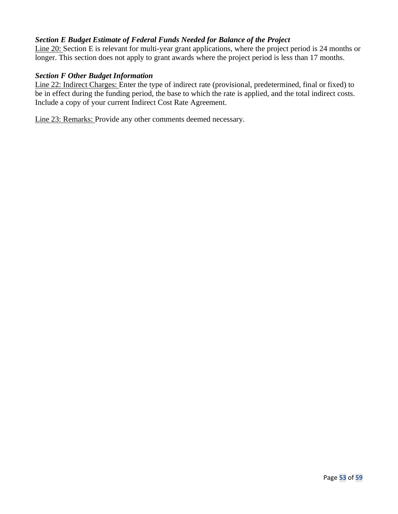## *Section E Budget Estimate of Federal Funds Needed for Balance of the Project*

Line 20: Section E is relevant for multi-year grant applications, where the project period is 24 months or longer. This section does not apply to grant awards where the project period is less than 17 months.

#### *Section F Other Budget Information*

Line 22: Indirect Charges: Enter the type of indirect rate (provisional, predetermined, final or fixed) to be in effect during the funding period, the base to which the rate is applied, and the total indirect costs. Include a copy of your current Indirect Cost Rate Agreement.

Line 23: Remarks: Provide any other comments deemed necessary.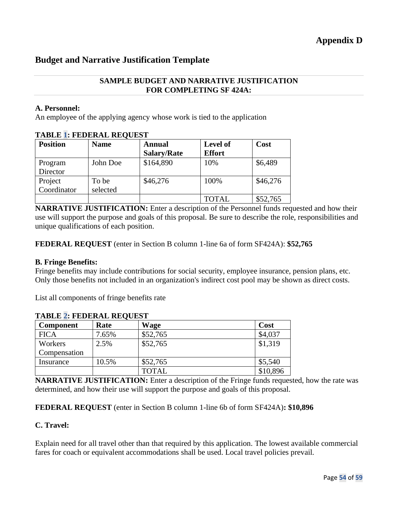# **Budget and Narrative Justification Template**

#### **SAMPLE BUDGET AND NARRATIVE JUSTIFICATION FOR COMPLETING SF 424A:**

#### **A. Personnel:**

An employee of the applying agency whose work is tied to the application

| <b>Position</b> | <b>Name</b> | <b>Annual</b>      | <b>Level of</b> | Cost     |
|-----------------|-------------|--------------------|-----------------|----------|
|                 |             | <b>Salary/Rate</b> | <b>Effort</b>   |          |
| Program         | John Doe    | \$164,890          | 10%             | \$6,489  |
| Director        |             |                    |                 |          |
| Project         | To be       | \$46,276           | 100%            | \$46,276 |
| Coordinator     | selected    |                    |                 |          |
|                 |             |                    | <b>TOTAL</b>    | \$52,765 |

### **TABLE 1: FEDERAL REQUEST**

**NARRATIVE JUSTIFICATION:** Enter a description of the Personnel funds requested and how their use will support the purpose and goals of this proposal. Be sure to describe the role, responsibilities and unique qualifications of each position.

**FEDERAL REQUEST** (enter in Section B column 1-line 6a of form SF424A): **\$52,765**

#### **B. Fringe Benefits:**

Fringe benefits may include contributions for social security, employee insurance, pension plans, etc. Only those benefits not included in an organization's indirect cost pool may be shown as direct costs.

List all components of fringe benefits rate

| TADLE <b>Z.</b> FEDERAL REQUEST |       |              |          |
|---------------------------------|-------|--------------|----------|
| Component                       | Rate  | <b>Wage</b>  | Cost     |
| <b>FICA</b>                     | 7.65% | \$52,765     | \$4,037  |
| Workers                         | 2.5%  | \$52,765     | \$1,319  |
| Compensation                    |       |              |          |
| Insurance                       | 10.5% | \$52,765     | \$5,540  |
|                                 |       | <b>TOTAL</b> | \$10,896 |

## **TABLE 2: FEDERAL REQUEST**

**NARRATIVE JUSTIFICATION:** Enter a description of the Fringe funds requested, how the rate was determined, and how their use will support the purpose and goals of this proposal.

#### **FEDERAL REQUEST** (enter in Section B column 1-line 6b of form SF424A)**: \$10,896**

#### **C. Travel:**

Explain need for all travel other than that required by this application. The lowest available commercial fares for coach or equivalent accommodations shall be used. Local travel policies prevail.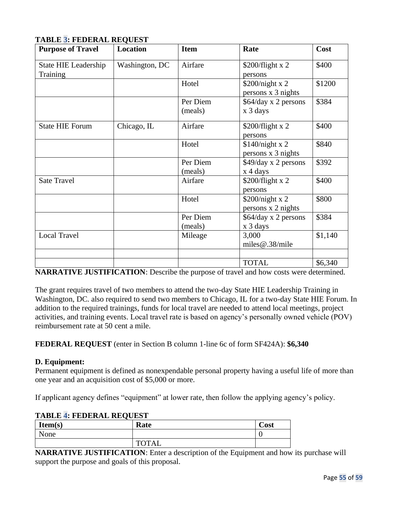| <b>Purpose of Travel</b>                | <b>Location</b> | <b>Item</b>         | Rate                                  | Cost    |
|-----------------------------------------|-----------------|---------------------|---------------------------------------|---------|
| <b>State HIE Leadership</b><br>Training | Washington, DC  | Airfare             | \$200/flight x 2<br>persons           | \$400   |
|                                         |                 | Hotel               | \$200/night x 2<br>persons x 3 nights | \$1200  |
|                                         |                 | Per Diem<br>(meals) | \$64/day x 2 persons<br>x 3 days      | \$384   |
| <b>State HIE Forum</b>                  | Chicago, IL     | Airfare             | \$200/flight x 2<br>persons           | \$400   |
|                                         |                 | Hotel               | \$140/night x 2<br>persons x 3 nights | \$840   |
|                                         |                 | Per Diem<br>(meals) | \$49/day x 2 persons<br>x 4 days      | \$392   |
| <b>Sate Travel</b>                      |                 | Airfare             | $$200/flight \times 2$$<br>persons    | \$400   |
|                                         |                 | Hotel               | \$200/night x 2<br>persons x 2 nights | \$800   |
|                                         |                 | Per Diem<br>(meals) | \$64/day x 2 persons<br>x 3 days      | \$384   |
| <b>Local Travel</b>                     |                 | Mileage             | 3,000<br>miles@.38/mile               | \$1,140 |
|                                         |                 |                     | <b>TOTAL</b>                          | \$6,340 |

# **TABLE 3: FEDERAL REQUEST**

**NARRATIVE JUSTIFICATION**: Describe the purpose of travel and how costs were determined.

The grant requires travel of two members to attend the two-day State HIE Leadership Training in Washington, DC. also required to send two members to Chicago, IL for a two-day State HIE Forum. In addition to the required trainings, funds for local travel are needed to attend local meetings, project activities, and training events. Local travel rate is based on agency's personally owned vehicle (POV) reimbursement rate at 50 cent a mile.

## **FEDERAL REQUEST** (enter in Section B column 1-line 6c of form SF424A): **\$6,340**

#### **D. Equipment:**

Permanent equipment is defined as nonexpendable personal property having a useful life of more than one year and an acquisition cost of \$5,000 or more.

If applicant agency defines "equipment" at lower rate, then follow the applying agency's policy.

| Item(s) | Rate         | Cost |
|---------|--------------|------|
| None    |              |      |
|         | <b>TOTAL</b> |      |

# **TABLE 4: FEDERAL REQUEST**

**NARRATIVE JUSTIFICATION**: Enter a description of the Equipment and how its purchase will support the purpose and goals of this proposal.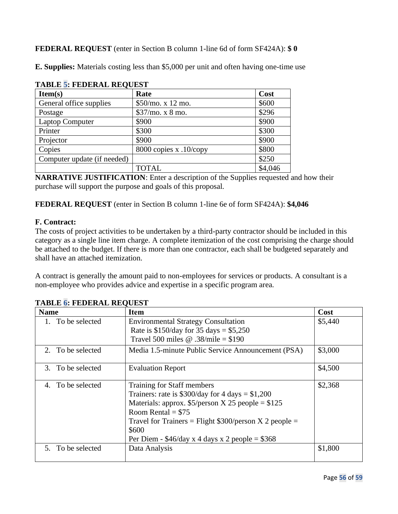## **FEDERAL REQUEST** (enter in Section B column 1-line 6d of form SF424A): **\$ 0**

**E. Supplies:** Materials costing less than \$5,000 per unit and often having one-time use

| <b>TABLE 5: FEDERAL REQUEST</b> |                          |         |  |
|---------------------------------|--------------------------|---------|--|
| Item(s)                         | Rate                     | Cost    |  |
| General office supplies         | \$50/mo. x 12 mo.        | \$600   |  |
| Postage                         | \$37/mo. x 8 mo.         | \$296   |  |
| <b>Laptop Computer</b>          | \$900                    | \$900   |  |
| Printer                         | \$300                    | \$300   |  |
| Projector                       | \$900                    | \$900   |  |
| Copies                          | 8000 copies $x$ .10/copy | \$800   |  |
| Computer update (if needed)     |                          | \$250   |  |
|                                 | <b>TOTAL</b>             | \$4,046 |  |

|  |  | LA DI E E EFDEDAI DEAIRCE |  |
|--|--|---------------------------|--|

**NARRATIVE JUSTIFICATION:** Enter a description of the Supplies requested and how their purchase will support the purpose and goals of this proposal.

**FEDERAL REQUEST** (enter in Section B column 1-line 6e of form SF424A): **\$4,046**

#### **F. Contract:**

The costs of project activities to be undertaken by a third-party contractor should be included in this category as a single line item charge. A complete itemization of the cost comprising the charge should be attached to the budget. If there is more than one contractor, each shall be budgeted separately and shall have an attached itemization.

A contract is generally the amount paid to non-employees for services or products. A consultant is a non-employee who provides advice and expertise in a specific program area.

| <b>Name</b>          | Item                                                                                                                                                                                                                                                                                         | Cost    |
|----------------------|----------------------------------------------------------------------------------------------------------------------------------------------------------------------------------------------------------------------------------------------------------------------------------------------|---------|
| 1. To be selected    | <b>Environmental Strategy Consultation</b><br>Rate is $$150/day$ for 35 days = \$5,250<br>Travel 500 miles @ .38/mile = $$190$                                                                                                                                                               | \$5,440 |
| 2. To be selected    | Media 1.5-minute Public Service Announcement (PSA)                                                                                                                                                                                                                                           | \$3,000 |
| 3. To be selected    | <b>Evaluation Report</b>                                                                                                                                                                                                                                                                     | \$4,500 |
| To be selected<br>4. | Training for Staff members<br>Trainers: rate is $$300/day$ for 4 days = \$1,200<br>Materials: approx. $$5/person X 25 people = $125$<br>Room Rental = $$75$<br>Travel for Trainers = Flight $$300/person X 2 people =$<br>\$600<br>Per Diem - $$46/day \times 4 days \times 2 people = $368$ | \$2,368 |
| 5. To be selected    | Data Analysis                                                                                                                                                                                                                                                                                | \$1,800 |

**TABLE 6: FEDERAL REQUEST**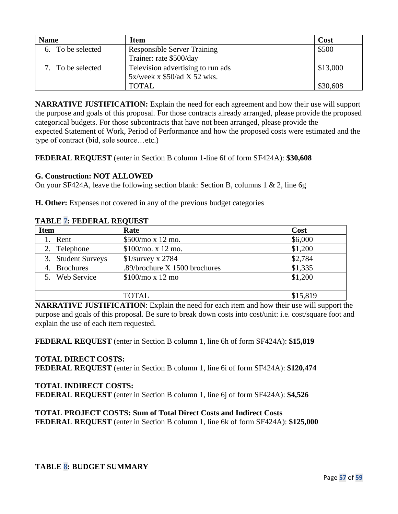| <b>Name</b>       | Item                               | Cost     |
|-------------------|------------------------------------|----------|
| 6. To be selected | <b>Responsible Server Training</b> | \$500    |
|                   | Trainer: rate \$500/day            |          |
| 7. To be selected | Television advertising to run ads  | \$13,000 |
|                   | 5x/week x \$50/ad X 52 wks.        |          |
|                   | <b>TOTAL</b>                       | \$30,608 |

**NARRATIVE JUSTIFICATION:** Explain the need for each agreement and how their use will support the purpose and goals of this proposal. For those contracts already arranged, please provide the proposed categorical budgets. For those subcontracts that have not been arranged, please provide the expected Statement of Work, Period of Performance and how the proposed costs were estimated and the type of contract (bid, sole source…etc.)

**FEDERAL REQUEST** (enter in Section B column 1-line 6f of form SF424A): **\$30,608**

#### **G. Construction: NOT ALLOWED**

On your SF424A, leave the following section blank: Section B, columns 1 & 2, line 6g

**H. Other:** Expenses not covered in any of the previous budget categories

| ************************** |                               |          |  |
|----------------------------|-------------------------------|----------|--|
| <b>Item</b>                | Rate                          | Cost     |  |
| 1. Rent                    | \$500/mo x 12 mo.             | \$6,000  |  |
| 2. Telephone               | \$100/mol x 12 mo.            | \$1,200  |  |
| 3. Student Surveys         | $$1/s$ urvey x 2784           | \$2,784  |  |
| 4. Brochures               | .89/brochure X 1500 brochures | \$1,335  |  |
| 5. Web Service             | \$100/mo x 12 mo              | \$1,200  |  |
|                            |                               |          |  |
|                            | TOTAL                         | \$15,819 |  |

#### **TABLE 7: FEDERAL REQUEST**

**NARRATIVE JUSTIFICATION**: Explain the need for each item and how their use will support the purpose and goals of this proposal. Be sure to break down costs into cost/unit: i.e. cost/square foot and explain the use of each item requested.

**FEDERAL REQUEST** (enter in Section B column 1, line 6h of form SF424A): **\$15,819**

#### **TOTAL DIRECT COSTS:**

**FEDERAL REQUEST** (enter in Section B column 1, line 6i of form SF424A): \$120,474

#### **TOTAL INDIRECT COSTS:**

**FEDERAL REQUEST** (enter in Section B column 1, line 6j of form SF424A): **\$4,526**

#### **TOTAL PROJECT COSTS: Sum of Total Direct Costs and Indirect Costs**

**FEDERAL REQUEST** (enter in Section B column 1, line 6k of form SF424A): \$125,000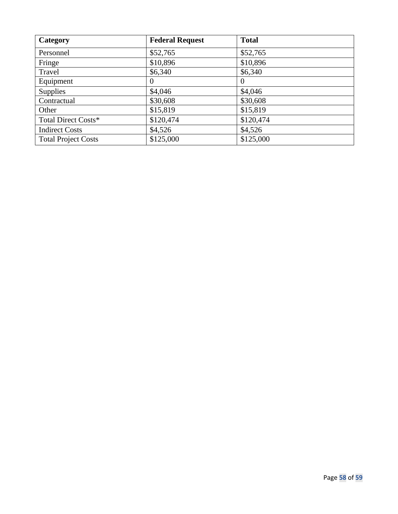| Category                   | <b>Federal Request</b> | <b>Total</b> |
|----------------------------|------------------------|--------------|
| Personnel                  | \$52,765               | \$52,765     |
| Fringe                     | \$10,896               | \$10,896     |
| Travel                     | \$6,340                | \$6,340      |
| Equipment                  | $\theta$               | $\Omega$     |
| <b>Supplies</b>            | \$4,046                | \$4,046      |
| Contractual                | \$30,608               | \$30,608     |
| Other                      | \$15,819               | \$15,819     |
| Total Direct Costs*        | \$120,474              | \$120,474    |
| <b>Indirect Costs</b>      | \$4,526                | \$4,526      |
| <b>Total Project Costs</b> | \$125,000              | \$125,000    |